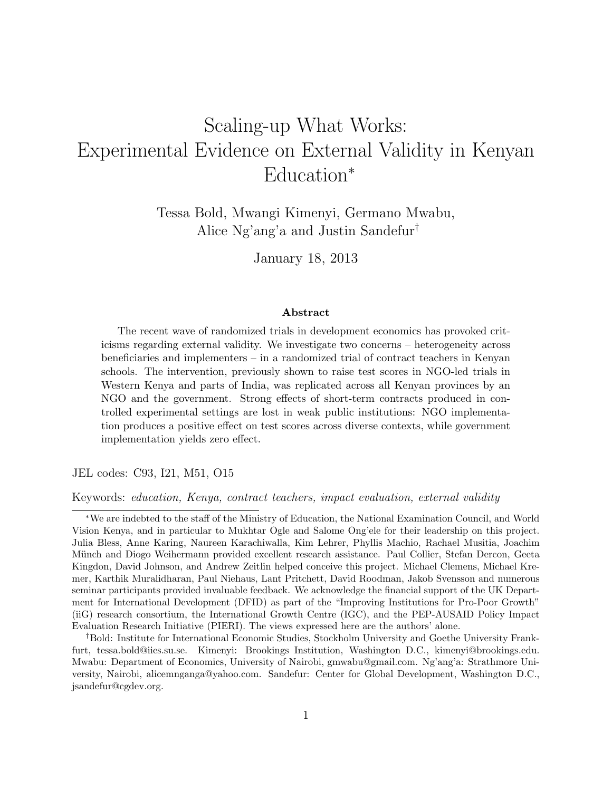# <span id="page-0-0"></span>Scaling-up What Works: Experimental Evidence on External Validity in Kenyan Education<sup>∗</sup>

Tessa Bold, Mwangi Kimenyi, Germano Mwabu, Alice Ng'ang'a and Justin Sandefur†

January 18, 2013

#### Abstract

The recent wave of randomized trials in development economics has provoked criticisms regarding external validity. We investigate two concerns – heterogeneity across beneficiaries and implementers – in a randomized trial of contract teachers in Kenyan schools. The intervention, previously shown to raise test scores in NGO-led trials in Western Kenya and parts of India, was replicated across all Kenyan provinces by an NGO and the government. Strong effects of short-term contracts produced in controlled experimental settings are lost in weak public institutions: NGO implementation produces a positive effect on test scores across diverse contexts, while government implementation yields zero effect.

JEL codes: C93, I21, M51, O15

Keywords: education, Kenya, contract teachers, impact evaluation, external validity

<sup>∗</sup>We are indebted to the staff of the Ministry of Education, the National Examination Council, and World Vision Kenya, and in particular to Mukhtar Ogle and Salome Ong'ele for their leadership on this project. Julia Bless, Anne Karing, Naureen Karachiwalla, Kim Lehrer, Phyllis Machio, Rachael Musitia, Joachim Münch and Diogo Weihermann provided excellent research assistance. Paul Collier, Stefan Dercon, Geeta Kingdon, David Johnson, and Andrew Zeitlin helped conceive this project. Michael Clemens, Michael Kremer, Karthik Muralidharan, Paul Niehaus, Lant Pritchett, David Roodman, Jakob Svensson and numerous seminar participants provided invaluable feedback. We acknowledge the financial support of the UK Department for International Development (DFID) as part of the "Improving Institutions for Pro-Poor Growth" (iiG) research consortium, the International Growth Centre (IGC), and the PEP-AUSAID Policy Impact Evaluation Research Initiative (PIERI). The views expressed here are the authors' alone.

<sup>†</sup>Bold: Institute for International Economic Studies, Stockholm University and Goethe University Frankfurt, tessa.bold@iies.su.se. Kimenyi: Brookings Institution, Washington D.C., kimenyi@brookings.edu. Mwabu: Department of Economics, University of Nairobi, gmwabu@gmail.com. Ng'ang'a: Strathmore University, Nairobi, alicemnganga@yahoo.com. Sandefur: Center for Global Development, Washington D.C., jsandefur@cgdev.org.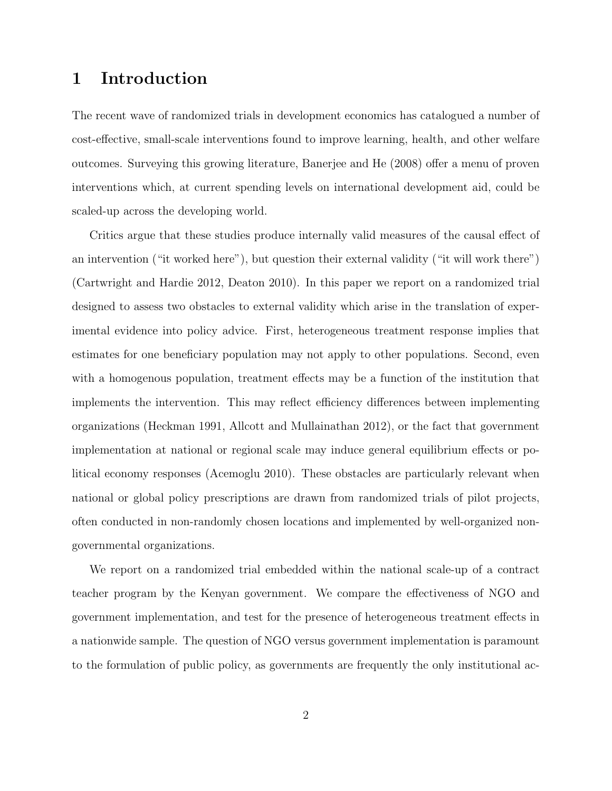## 1 Introduction

The recent wave of randomized trials in development economics has catalogued a number of cost-effective, small-scale interventions found to improve learning, health, and other welfare outcomes. Surveying this growing literature, Banerjee and He (2008) offer a menu of proven interventions which, at current spending levels on international development aid, could be scaled-up across the developing world.

Critics argue that these studies produce internally valid measures of the causal effect of an intervention ("it worked here"), but question their external validity ("it will work there") (Cartwright and Hardie 2012, Deaton 2010). In this paper we report on a randomized trial designed to assess two obstacles to external validity which arise in the translation of experimental evidence into policy advice. First, heterogeneous treatment response implies that estimates for one beneficiary population may not apply to other populations. Second, even with a homogenous population, treatment effects may be a function of the institution that implements the intervention. This may reflect efficiency differences between implementing organizations (Heckman 1991, Allcott and Mullainathan 2012), or the fact that government implementation at national or regional scale may induce general equilibrium effects or political economy responses (Acemoglu 2010). These obstacles are particularly relevant when national or global policy prescriptions are drawn from randomized trials of pilot projects, often conducted in non-randomly chosen locations and implemented by well-organized nongovernmental organizations.

We report on a randomized trial embedded within the national scale-up of a contract teacher program by the Kenyan government. We compare the effectiveness of NGO and government implementation, and test for the presence of heterogeneous treatment effects in a nationwide sample. The question of NGO versus government implementation is paramount to the formulation of public policy, as governments are frequently the only institutional ac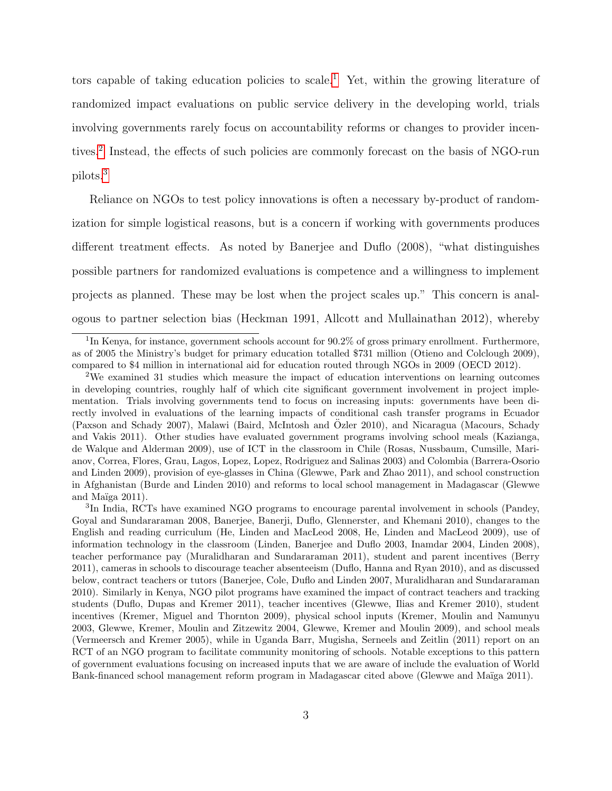tors capable of taking education policies to scale.<sup>[1](#page-0-0)</sup> Yet, within the growing literature of randomized impact evaluations on public service delivery in the developing world, trials involving governments rarely focus on accountability reforms or changes to provider incen-tives.<sup>[2](#page-0-0)</sup> Instead, the effects of such policies are commonly forecast on the basis of NGO-run pilots.[3](#page-0-0)

Reliance on NGOs to test policy innovations is often a necessary by-product of randomization for simple logistical reasons, but is a concern if working with governments produces different treatment effects. As noted by Banerjee and Duflo (2008), "what distinguishes possible partners for randomized evaluations is competence and a willingness to implement projects as planned. These may be lost when the project scales up." This concern is analogous to partner selection bias (Heckman 1991, Allcott and Mullainathan 2012), whereby

<sup>&</sup>lt;sup>1</sup>In Kenya, for instance, government schools account for 90.2% of gross primary enrollment. Furthermore, as of 2005 the Ministry's budget for primary education totalled \$731 million (Otieno and Colclough 2009), compared to \$4 million in international aid for education routed through NGOs in 2009 (OECD 2012).

<sup>2</sup>We examined 31 studies which measure the impact of education interventions on learning outcomes in developing countries, roughly half of which cite significant government involvement in project implementation. Trials involving governments tend to focus on increasing inputs: governments have been directly involved in evaluations of the learning impacts of conditional cash transfer programs in Ecuador (Paxson and Schady 2007), Malawi (Baird, McIntosh and Ozler 2010), and Nicaragua (Macours, Schady ¨ and Vakis 2011). Other studies have evaluated government programs involving school meals (Kazianga, de Walque and Alderman 2009), use of ICT in the classroom in Chile (Rosas, Nussbaum, Cumsille, Marianov, Correa, Flores, Grau, Lagos, Lopez, Lopez, Rodriguez and Salinas 2003) and Colombia (Barrera-Osorio and Linden 2009), provision of eye-glasses in China (Glewwe, Park and Zhao 2011), and school construction in Afghanistan (Burde and Linden 2010) and reforms to local school management in Madagascar (Glewwe and Maïga  $2011$ ).

<sup>&</sup>lt;sup>3</sup>In India, RCTs have examined NGO programs to encourage parental involvement in schools (Pandey, Goyal and Sundararaman 2008, Banerjee, Banerji, Duflo, Glennerster, and Khemani 2010), changes to the English and reading curriculum (He, Linden and MacLeod 2008, He, Linden and MacLeod 2009), use of information technology in the classroom (Linden, Banerjee and Duflo 2003, Inamdar 2004, Linden 2008), teacher performance pay (Muralidharan and Sundararaman 2011), student and parent incentives (Berry 2011), cameras in schools to discourage teacher absenteeism (Duflo, Hanna and Ryan 2010), and as discussed below, contract teachers or tutors (Banerjee, Cole, Duflo and Linden 2007, Muralidharan and Sundararaman 2010). Similarly in Kenya, NGO pilot programs have examined the impact of contract teachers and tracking students (Duflo, Dupas and Kremer 2011), teacher incentives (Glewwe, Ilias and Kremer 2010), student incentives (Kremer, Miguel and Thornton 2009), physical school inputs (Kremer, Moulin and Namunyu 2003, Glewwe, Kremer, Moulin and Zitzewitz 2004, Glewwe, Kremer and Moulin 2009), and school meals (Vermeersch and Kremer 2005), while in Uganda Barr, Mugisha, Serneels and Zeitlin (2011) report on an RCT of an NGO program to facilitate community monitoring of schools. Notable exceptions to this pattern of government evaluations focusing on increased inputs that we are aware of include the evaluation of World Bank-financed school management reform program in Madagascar cited above (Glewwe and Maïga 2011).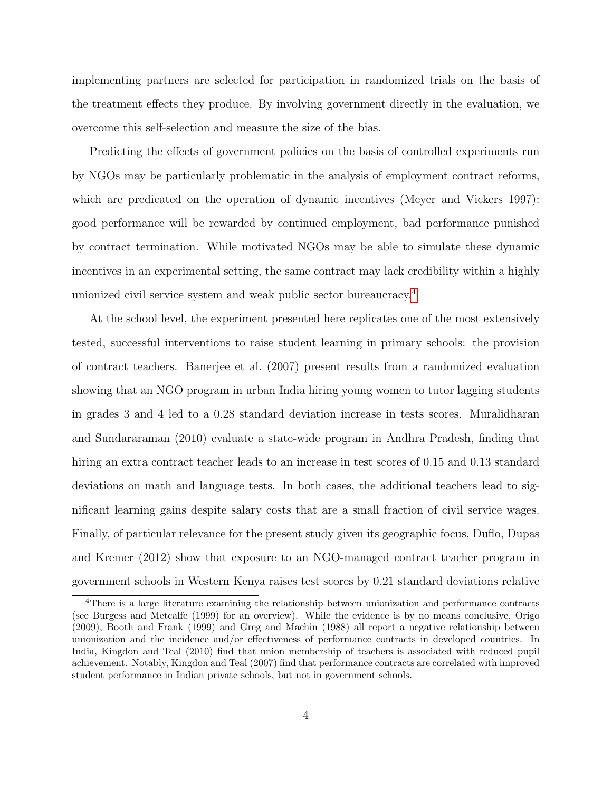implementing partners are selected for participation in randomized trials on the basis of the treatment effects they produce. By involving government directly in the evaluation, we overcome this self-selection and measure the size of the bias.

Predicting the effects of government policies on the basis of controlled experiments run by NGOs may be particularly problematic in the analysis of employment contract reforms, which are predicated on the operation of dynamic incentives (Meyer and Vickers 1997): good performance will be rewarded by continued employment, bad performance punished by contract termination. While motivated NGOs may be able to simulate these dynamic incentives in an experimental setting, the same contract may lack credibility within a highly unionized civil service system and weak public sector bureaucracy.[4](#page-0-0)

At the school level, the experiment presented here replicates one of the most extensively tested, successful interventions to raise student learning in primary schools: the provision of contract teachers. Banerjee et al. (2007) present results from a randomized evaluation showing that an NGO program in urban India hiring young women to tutor lagging students in grades 3 and 4 led to a 0.28 standard deviation increase in tests scores. Muralidharan and Sundararaman (2010) evaluate a state-wide program in Andhra Pradesh, finding that hiring an extra contract teacher leads to an increase in test scores of 0.15 and 0.13 standard deviations on math and language tests. In both cases, the additional teachers lead to significant learning gains despite salary costs that are a small fraction of civil service wages. Finally, of particular relevance for the present study given its geographic focus, Duflo, Dupas and Kremer (2012) show that exposure to an NGO-managed contract teacher program in government schools in Western Kenya raises test scores by 0.21 standard deviations relative

<sup>4</sup>There is a large literature examining the relationship between unionization and performance contracts (see Burgess and Metcalfe (1999) for an overview). While the evidence is by no means conclusive, Origo (2009), Booth and Frank (1999) and Greg and Machin (1988) all report a negative relationship between unionization and the incidence and/or effectiveness of performance contracts in developed countries. In India, Kingdon and Teal (2010) find that union membership of teachers is associated with reduced pupil achievement. Notably, Kingdon and Teal (2007) find that performance contracts are correlated with improved student performance in Indian private schools, but not in government schools.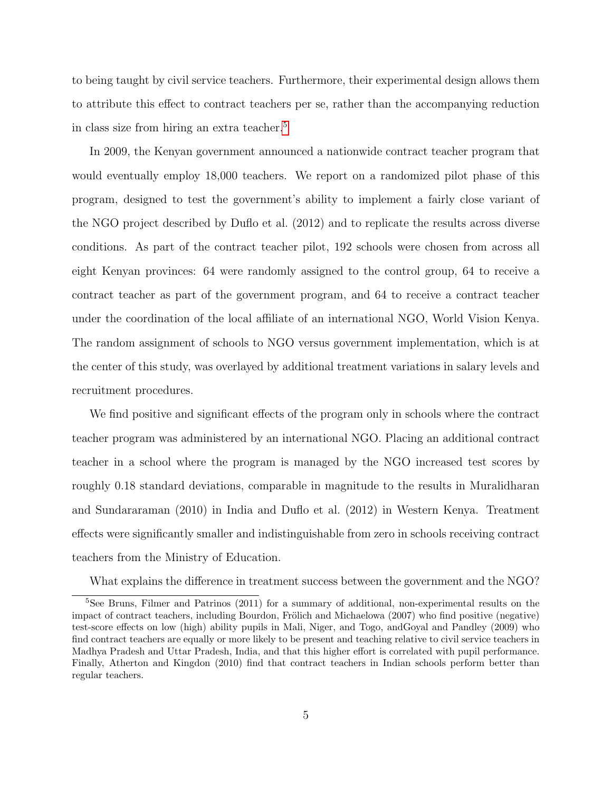to being taught by civil service teachers. Furthermore, their experimental design allows them to attribute this effect to contract teachers per se, rather than the accompanying reduction in class size from hiring an extra teacher.[5](#page-0-0)

In 2009, the Kenyan government announced a nationwide contract teacher program that would eventually employ 18,000 teachers. We report on a randomized pilot phase of this program, designed to test the government's ability to implement a fairly close variant of the NGO project described by Duflo et al. (2012) and to replicate the results across diverse conditions. As part of the contract teacher pilot, 192 schools were chosen from across all eight Kenyan provinces: 64 were randomly assigned to the control group, 64 to receive a contract teacher as part of the government program, and 64 to receive a contract teacher under the coordination of the local affiliate of an international NGO, World Vision Kenya. The random assignment of schools to NGO versus government implementation, which is at the center of this study, was overlayed by additional treatment variations in salary levels and recruitment procedures.

We find positive and significant effects of the program only in schools where the contract teacher program was administered by an international NGO. Placing an additional contract teacher in a school where the program is managed by the NGO increased test scores by roughly 0.18 standard deviations, comparable in magnitude to the results in Muralidharan and Sundararaman (2010) in India and Duflo et al. (2012) in Western Kenya. Treatment effects were significantly smaller and indistinguishable from zero in schools receiving contract teachers from the Ministry of Education.

What explains the difference in treatment success between the government and the NGO?

<sup>&</sup>lt;sup>5</sup>See Bruns, Filmer and Patrinos (2011) for a summary of additional, non-experimental results on the impact of contract teachers, including Bourdon, Frölich and Michaelowa (2007) who find positive (negative) test-score effects on low (high) ability pupils in Mali, Niger, and Togo, andGoyal and Pandley (2009) who find contract teachers are equally or more likely to be present and teaching relative to civil service teachers in Madhya Pradesh and Uttar Pradesh, India, and that this higher effort is correlated with pupil performance. Finally, Atherton and Kingdon (2010) find that contract teachers in Indian schools perform better than regular teachers.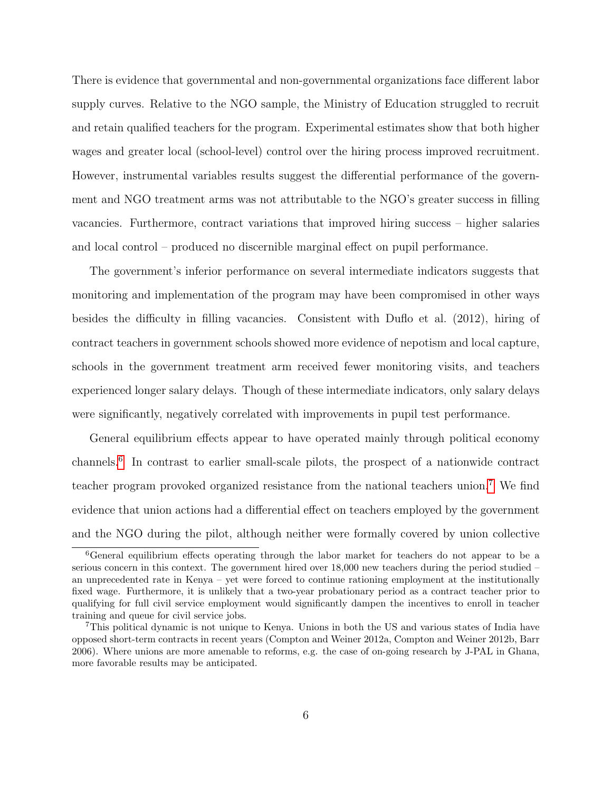There is evidence that governmental and non-governmental organizations face different labor supply curves. Relative to the NGO sample, the Ministry of Education struggled to recruit and retain qualified teachers for the program. Experimental estimates show that both higher wages and greater local (school-level) control over the hiring process improved recruitment. However, instrumental variables results suggest the differential performance of the government and NGO treatment arms was not attributable to the NGO's greater success in filling vacancies. Furthermore, contract variations that improved hiring success – higher salaries and local control – produced no discernible marginal effect on pupil performance.

The government's inferior performance on several intermediate indicators suggests that monitoring and implementation of the program may have been compromised in other ways besides the difficulty in filling vacancies. Consistent with Duflo et al. (2012), hiring of contract teachers in government schools showed more evidence of nepotism and local capture, schools in the government treatment arm received fewer monitoring visits, and teachers experienced longer salary delays. Though of these intermediate indicators, only salary delays were significantly, negatively correlated with improvements in pupil test performance.

General equilibrium effects appear to have operated mainly through political economy channels.[6](#page-0-0) In contrast to earlier small-scale pilots, the prospect of a nationwide contract teacher program provoked organized resistance from the national teachers union.[7](#page-0-0) We find evidence that union actions had a differential effect on teachers employed by the government and the NGO during the pilot, although neither were formally covered by union collective

<sup>6</sup>General equilibrium effects operating through the labor market for teachers do not appear to be a serious concern in this context. The government hired over 18,000 new teachers during the period studied – an unprecedented rate in Kenya – yet were forced to continue rationing employment at the institutionally fixed wage. Furthermore, it is unlikely that a two-year probationary period as a contract teacher prior to qualifying for full civil service employment would significantly dampen the incentives to enroll in teacher training and queue for civil service jobs.

<sup>7</sup>This political dynamic is not unique to Kenya. Unions in both the US and various states of India have opposed short-term contracts in recent years (Compton and Weiner 2012a, Compton and Weiner 2012b, Barr 2006). Where unions are more amenable to reforms, e.g. the case of on-going research by J-PAL in Ghana, more favorable results may be anticipated.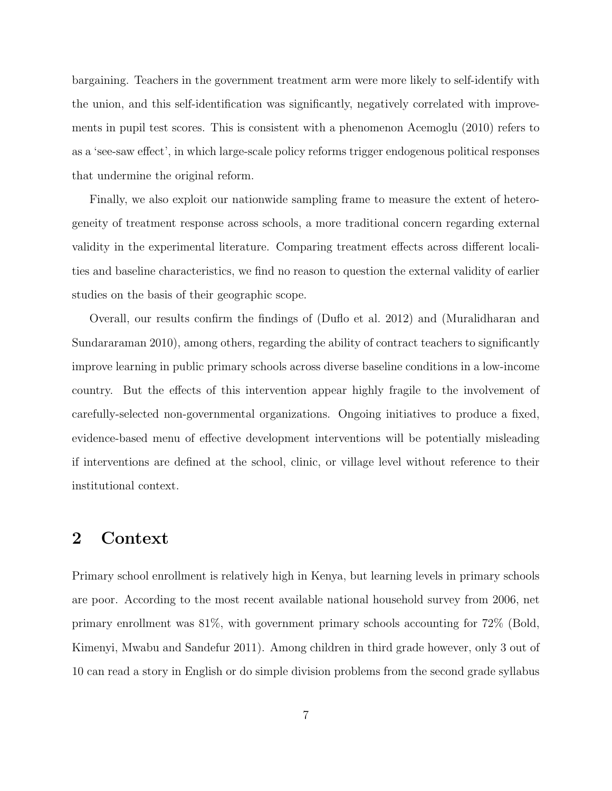bargaining. Teachers in the government treatment arm were more likely to self-identify with the union, and this self-identification was significantly, negatively correlated with improvements in pupil test scores. This is consistent with a phenomenon Acemoglu (2010) refers to as a 'see-saw effect', in which large-scale policy reforms trigger endogenous political responses that undermine the original reform.

Finally, we also exploit our nationwide sampling frame to measure the extent of heterogeneity of treatment response across schools, a more traditional concern regarding external validity in the experimental literature. Comparing treatment effects across different localities and baseline characteristics, we find no reason to question the external validity of earlier studies on the basis of their geographic scope.

Overall, our results confirm the findings of (Duflo et al. 2012) and (Muralidharan and Sundararaman 2010), among others, regarding the ability of contract teachers to significantly improve learning in public primary schools across diverse baseline conditions in a low-income country. But the effects of this intervention appear highly fragile to the involvement of carefully-selected non-governmental organizations. Ongoing initiatives to produce a fixed, evidence-based menu of effective development interventions will be potentially misleading if interventions are defined at the school, clinic, or village level without reference to their institutional context.

## 2 Context

Primary school enrollment is relatively high in Kenya, but learning levels in primary schools are poor. According to the most recent available national household survey from 2006, net primary enrollment was 81%, with government primary schools accounting for 72% (Bold, Kimenyi, Mwabu and Sandefur 2011). Among children in third grade however, only 3 out of 10 can read a story in English or do simple division problems from the second grade syllabus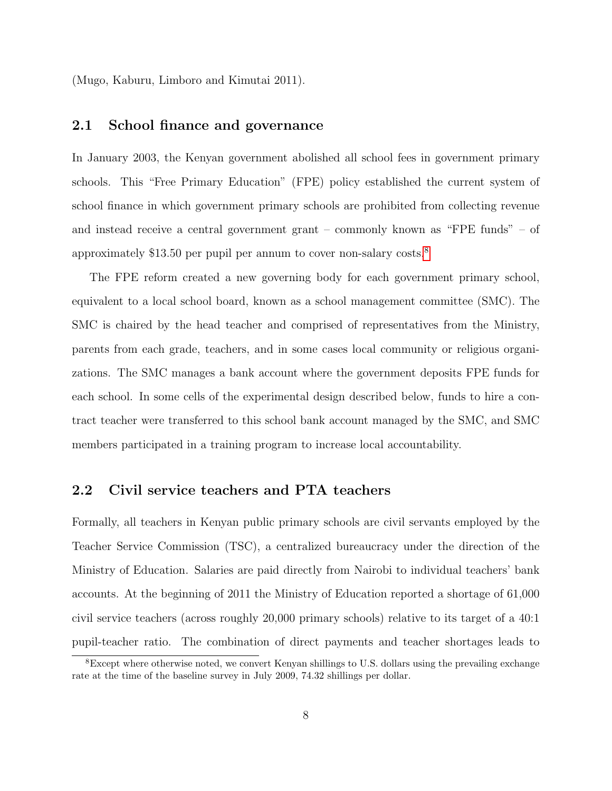(Mugo, Kaburu, Limboro and Kimutai 2011).

#### 2.1 School finance and governance

In January 2003, the Kenyan government abolished all school fees in government primary schools. This "Free Primary Education" (FPE) policy established the current system of school finance in which government primary schools are prohibited from collecting revenue and instead receive a central government grant – commonly known as "FPE funds" – of approximately \$13.50 per pupil per annum to cover non-salary costs.[8](#page-0-0)

The FPE reform created a new governing body for each government primary school, equivalent to a local school board, known as a school management committee (SMC). The SMC is chaired by the head teacher and comprised of representatives from the Ministry, parents from each grade, teachers, and in some cases local community or religious organizations. The SMC manages a bank account where the government deposits FPE funds for each school. In some cells of the experimental design described below, funds to hire a contract teacher were transferred to this school bank account managed by the SMC, and SMC members participated in a training program to increase local accountability.

#### 2.2 Civil service teachers and PTA teachers

Formally, all teachers in Kenyan public primary schools are civil servants employed by the Teacher Service Commission (TSC), a centralized bureaucracy under the direction of the Ministry of Education. Salaries are paid directly from Nairobi to individual teachers' bank accounts. At the beginning of 2011 the Ministry of Education reported a shortage of 61,000 civil service teachers (across roughly 20,000 primary schools) relative to its target of a 40:1 pupil-teacher ratio. The combination of direct payments and teacher shortages leads to

<sup>8</sup>Except where otherwise noted, we convert Kenyan shillings to U.S. dollars using the prevailing exchange rate at the time of the baseline survey in July 2009, 74.32 shillings per dollar.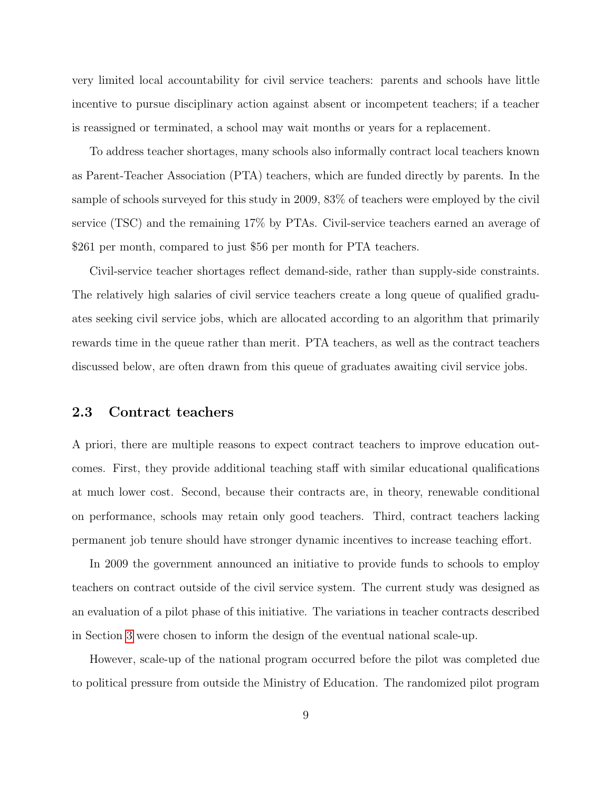very limited local accountability for civil service teachers: parents and schools have little incentive to pursue disciplinary action against absent or incompetent teachers; if a teacher is reassigned or terminated, a school may wait months or years for a replacement.

To address teacher shortages, many schools also informally contract local teachers known as Parent-Teacher Association (PTA) teachers, which are funded directly by parents. In the sample of schools surveyed for this study in 2009, 83% of teachers were employed by the civil service (TSC) and the remaining 17% by PTAs. Civil-service teachers earned an average of \$261 per month, compared to just \$56 per month for PTA teachers.

Civil-service teacher shortages reflect demand-side, rather than supply-side constraints. The relatively high salaries of civil service teachers create a long queue of qualified graduates seeking civil service jobs, which are allocated according to an algorithm that primarily rewards time in the queue rather than merit. PTA teachers, as well as the contract teachers discussed below, are often drawn from this queue of graduates awaiting civil service jobs.

#### 2.3 Contract teachers

A priori, there are multiple reasons to expect contract teachers to improve education outcomes. First, they provide additional teaching staff with similar educational qualifications at much lower cost. Second, because their contracts are, in theory, renewable conditional on performance, schools may retain only good teachers. Third, contract teachers lacking permanent job tenure should have stronger dynamic incentives to increase teaching effort.

In 2009 the government announced an initiative to provide funds to schools to employ teachers on contract outside of the civil service system. The current study was designed as an evaluation of a pilot phase of this initiative. The variations in teacher contracts described in Section [3](#page-10-0) were chosen to inform the design of the eventual national scale-up.

However, scale-up of the national program occurred before the pilot was completed due to political pressure from outside the Ministry of Education. The randomized pilot program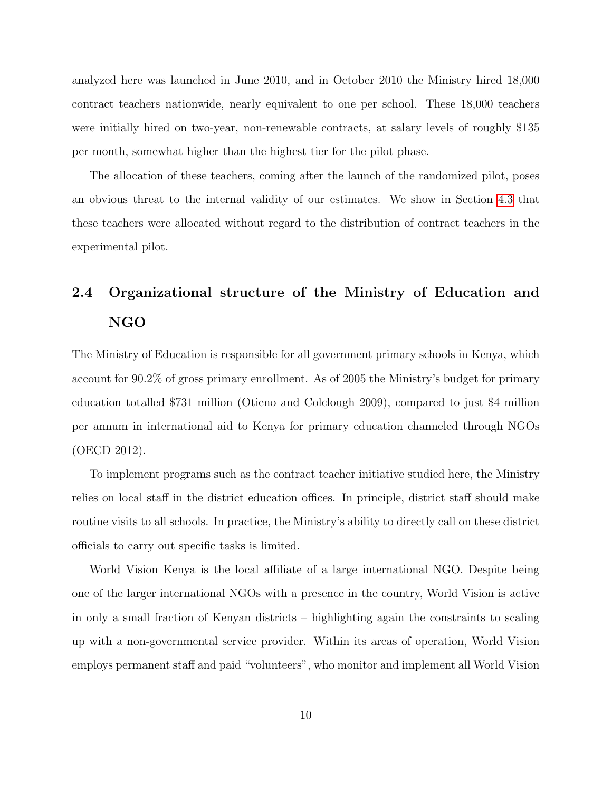analyzed here was launched in June 2010, and in October 2010 the Ministry hired 18,000 contract teachers nationwide, nearly equivalent to one per school. These 18,000 teachers were initially hired on two-year, non-renewable contracts, at salary levels of roughly \$135 per month, somewhat higher than the highest tier for the pilot phase.

The allocation of these teachers, coming after the launch of the randomized pilot, poses an obvious threat to the internal validity of our estimates. We show in Section [4.3](#page-17-0) that these teachers were allocated without regard to the distribution of contract teachers in the experimental pilot.

# 2.4 Organizational structure of the Ministry of Education and NGO

The Ministry of Education is responsible for all government primary schools in Kenya, which account for 90.2% of gross primary enrollment. As of 2005 the Ministry's budget for primary education totalled \$731 million (Otieno and Colclough 2009), compared to just \$4 million per annum in international aid to Kenya for primary education channeled through NGOs (OECD 2012).

To implement programs such as the contract teacher initiative studied here, the Ministry relies on local staff in the district education offices. In principle, district staff should make routine visits to all schools. In practice, the Ministry's ability to directly call on these district officials to carry out specific tasks is limited.

World Vision Kenya is the local affiliate of a large international NGO. Despite being one of the larger international NGOs with a presence in the country, World Vision is active in only a small fraction of Kenyan districts – highlighting again the constraints to scaling up with a non-governmental service provider. Within its areas of operation, World Vision employs permanent staff and paid "volunteers", who monitor and implement all World Vision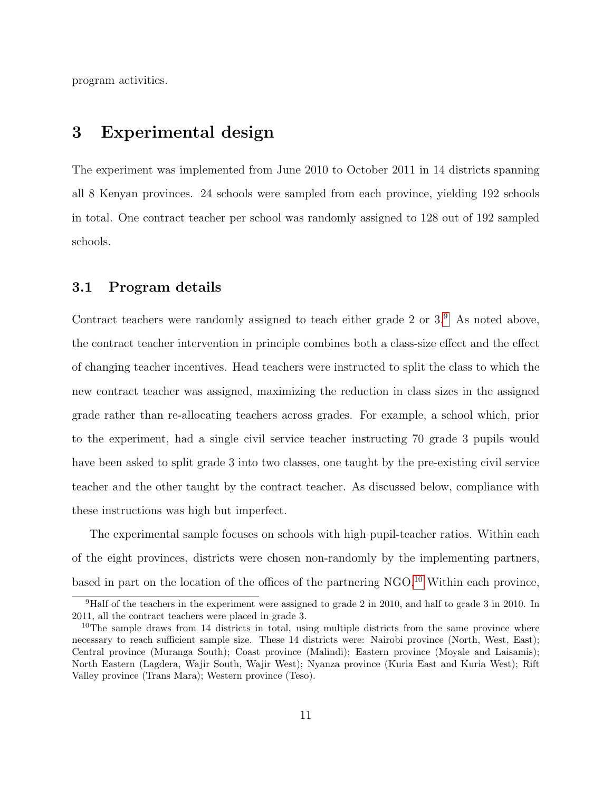program activities.

## <span id="page-10-0"></span>3 Experimental design

The experiment was implemented from June 2010 to October 2011 in 14 districts spanning all 8 Kenyan provinces. 24 schools were sampled from each province, yielding 192 schools in total. One contract teacher per school was randomly assigned to 128 out of 192 sampled schools.

#### 3.1 Program details

Contract teachers were randomly assigned to teach either grade 2 or  $3.9$  $3.9$ . As noted above, the contract teacher intervention in principle combines both a class-size effect and the effect of changing teacher incentives. Head teachers were instructed to split the class to which the new contract teacher was assigned, maximizing the reduction in class sizes in the assigned grade rather than re-allocating teachers across grades. For example, a school which, prior to the experiment, had a single civil service teacher instructing 70 grade 3 pupils would have been asked to split grade 3 into two classes, one taught by the pre-existing civil service teacher and the other taught by the contract teacher. As discussed below, compliance with these instructions was high but imperfect.

The experimental sample focuses on schools with high pupil-teacher ratios. Within each of the eight provinces, districts were chosen non-randomly by the implementing partners, based in part on the location of the offices of the partnering NGO.[10](#page-0-0) Within each province,

<sup>9</sup>Half of the teachers in the experiment were assigned to grade 2 in 2010, and half to grade 3 in 2010. In 2011, all the contract teachers were placed in grade 3.

 $10$ The sample draws from 14 districts in total, using multiple districts from the same province where necessary to reach sufficient sample size. These 14 districts were: Nairobi province (North, West, East); Central province (Muranga South); Coast province (Malindi); Eastern province (Moyale and Laisamis); North Eastern (Lagdera, Wajir South, Wajir West); Nyanza province (Kuria East and Kuria West); Rift Valley province (Trans Mara); Western province (Teso).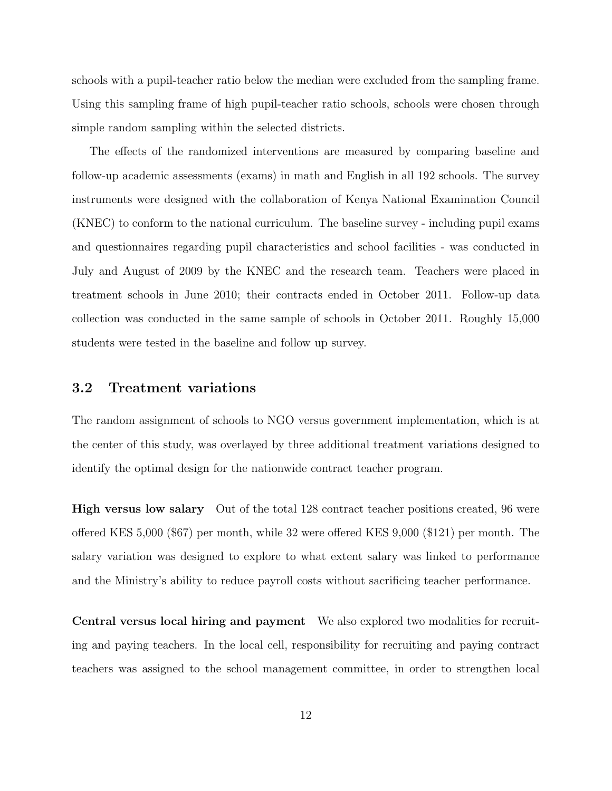schools with a pupil-teacher ratio below the median were excluded from the sampling frame. Using this sampling frame of high pupil-teacher ratio schools, schools were chosen through simple random sampling within the selected districts.

The effects of the randomized interventions are measured by comparing baseline and follow-up academic assessments (exams) in math and English in all 192 schools. The survey instruments were designed with the collaboration of Kenya National Examination Council (KNEC) to conform to the national curriculum. The baseline survey - including pupil exams and questionnaires regarding pupil characteristics and school facilities - was conducted in July and August of 2009 by the KNEC and the research team. Teachers were placed in treatment schools in June 2010; their contracts ended in October 2011. Follow-up data collection was conducted in the same sample of schools in October 2011. Roughly 15,000 students were tested in the baseline and follow up survey.

#### 3.2 Treatment variations

The random assignment of schools to NGO versus government implementation, which is at the center of this study, was overlayed by three additional treatment variations designed to identify the optimal design for the nationwide contract teacher program.

High versus low salary Out of the total 128 contract teacher positions created, 96 were offered KES 5,000 (\$67) per month, while 32 were offered KES 9,000 (\$121) per month. The salary variation was designed to explore to what extent salary was linked to performance and the Ministry's ability to reduce payroll costs without sacrificing teacher performance.

Central versus local hiring and payment We also explored two modalities for recruiting and paying teachers. In the local cell, responsibility for recruiting and paying contract teachers was assigned to the school management committee, in order to strengthen local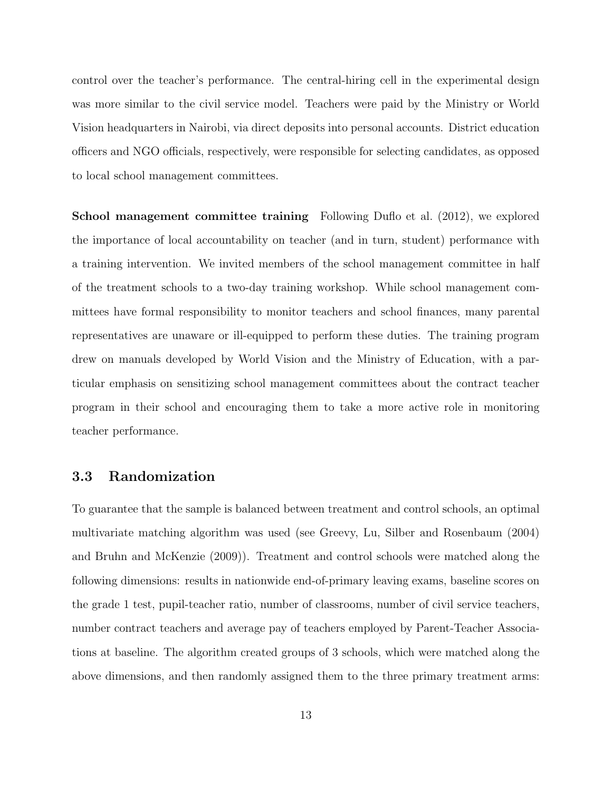control over the teacher's performance. The central-hiring cell in the experimental design was more similar to the civil service model. Teachers were paid by the Ministry or World Vision headquarters in Nairobi, via direct deposits into personal accounts. District education officers and NGO officials, respectively, were responsible for selecting candidates, as opposed to local school management committees.

School management committee training Following Duflo et al. (2012), we explored the importance of local accountability on teacher (and in turn, student) performance with a training intervention. We invited members of the school management committee in half of the treatment schools to a two-day training workshop. While school management committees have formal responsibility to monitor teachers and school finances, many parental representatives are unaware or ill-equipped to perform these duties. The training program drew on manuals developed by World Vision and the Ministry of Education, with a particular emphasis on sensitizing school management committees about the contract teacher program in their school and encouraging them to take a more active role in monitoring teacher performance.

#### 3.3 Randomization

To guarantee that the sample is balanced between treatment and control schools, an optimal multivariate matching algorithm was used (see Greevy, Lu, Silber and Rosenbaum (2004) and Bruhn and McKenzie (2009)). Treatment and control schools were matched along the following dimensions: results in nationwide end-of-primary leaving exams, baseline scores on the grade 1 test, pupil-teacher ratio, number of classrooms, number of civil service teachers, number contract teachers and average pay of teachers employed by Parent-Teacher Associations at baseline. The algorithm created groups of 3 schools, which were matched along the above dimensions, and then randomly assigned them to the three primary treatment arms: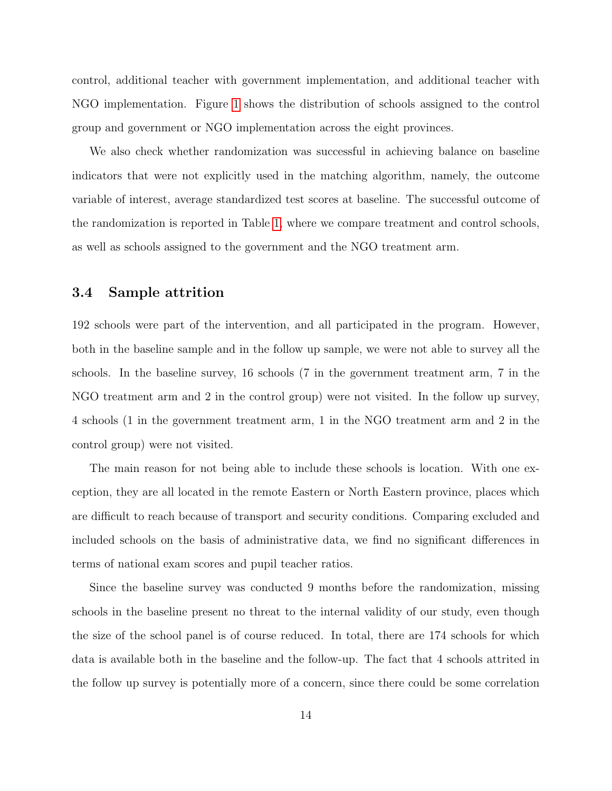control, additional teacher with government implementation, and additional teacher with NGO implementation. Figure [1](#page-50-0) shows the distribution of schools assigned to the control group and government or NGO implementation across the eight provinces.

We also check whether randomization was successful in achieving balance on baseline indicators that were not explicitly used in the matching algorithm, namely, the outcome variable of interest, average standardized test scores at baseline. The successful outcome of the randomization is reported in Table [1,](#page-42-0) where we compare treatment and control schools, as well as schools assigned to the government and the NGO treatment arm.

#### 3.4 Sample attrition

192 schools were part of the intervention, and all participated in the program. However, both in the baseline sample and in the follow up sample, we were not able to survey all the schools. In the baseline survey, 16 schools (7 in the government treatment arm, 7 in the NGO treatment arm and 2 in the control group) were not visited. In the follow up survey, 4 schools (1 in the government treatment arm, 1 in the NGO treatment arm and 2 in the control group) were not visited.

The main reason for not being able to include these schools is location. With one exception, they are all located in the remote Eastern or North Eastern province, places which are difficult to reach because of transport and security conditions. Comparing excluded and included schools on the basis of administrative data, we find no significant differences in terms of national exam scores and pupil teacher ratios.

Since the baseline survey was conducted 9 months before the randomization, missing schools in the baseline present no threat to the internal validity of our study, even though the size of the school panel is of course reduced. In total, there are 174 schools for which data is available both in the baseline and the follow-up. The fact that 4 schools attrited in the follow up survey is potentially more of a concern, since there could be some correlation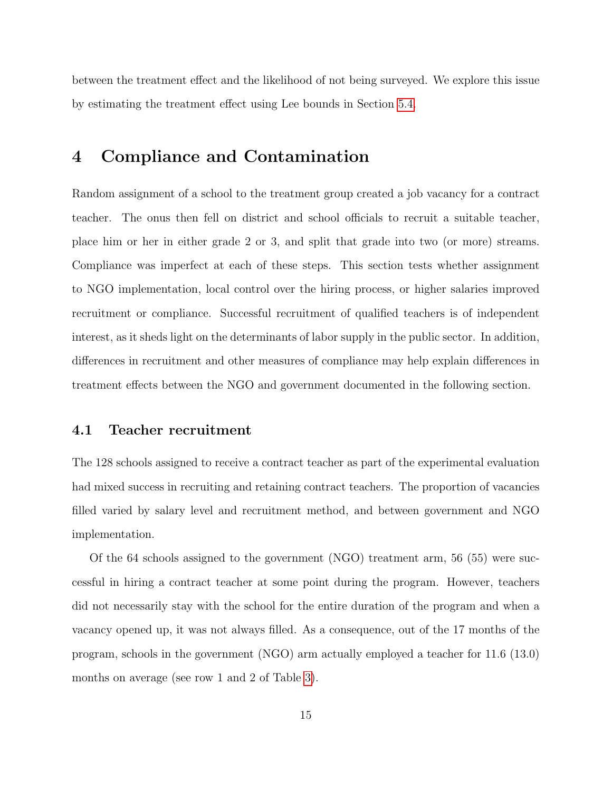between the treatment effect and the likelihood of not being surveyed. We explore this issue by estimating the treatment effect using Lee bounds in Section [5.4.](#page-24-0)

## 4 Compliance and Contamination

Random assignment of a school to the treatment group created a job vacancy for a contract teacher. The onus then fell on district and school officials to recruit a suitable teacher, place him or her in either grade 2 or 3, and split that grade into two (or more) streams. Compliance was imperfect at each of these steps. This section tests whether assignment to NGO implementation, local control over the hiring process, or higher salaries improved recruitment or compliance. Successful recruitment of qualified teachers is of independent interest, as it sheds light on the determinants of labor supply in the public sector. In addition, differences in recruitment and other measures of compliance may help explain differences in treatment effects between the NGO and government documented in the following section.

#### <span id="page-14-0"></span>4.1 Teacher recruitment

The 128 schools assigned to receive a contract teacher as part of the experimental evaluation had mixed success in recruiting and retaining contract teachers. The proportion of vacancies filled varied by salary level and recruitment method, and between government and NGO implementation.

Of the 64 schools assigned to the government (NGO) treatment arm, 56 (55) were successful in hiring a contract teacher at some point during the program. However, teachers did not necessarily stay with the school for the entire duration of the program and when a vacancy opened up, it was not always filled. As a consequence, out of the 17 months of the program, schools in the government (NGO) arm actually employed a teacher for 11.6 (13.0) months on average (see row 1 and 2 of Table [3\)](#page-44-0).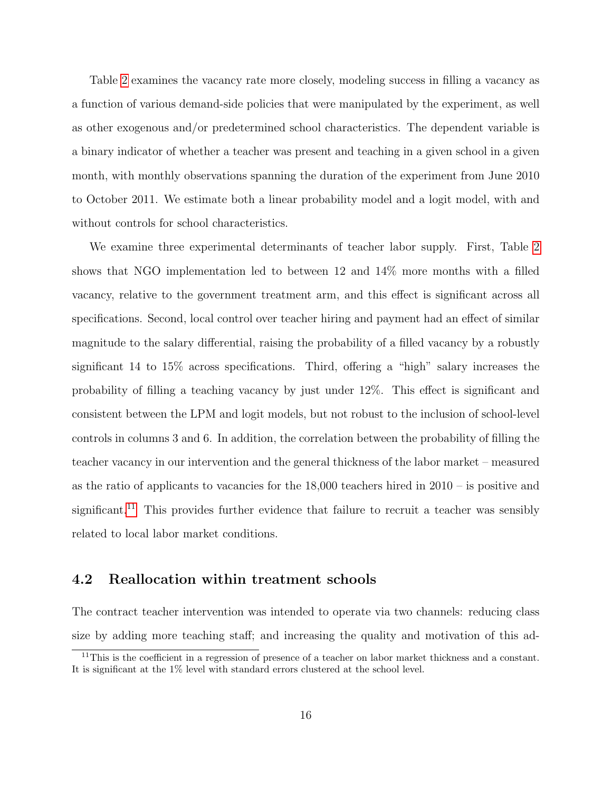Table [2](#page-43-0) examines the vacancy rate more closely, modeling success in filling a vacancy as a function of various demand-side policies that were manipulated by the experiment, as well as other exogenous and/or predetermined school characteristics. The dependent variable is a binary indicator of whether a teacher was present and teaching in a given school in a given month, with monthly observations spanning the duration of the experiment from June 2010 to October 2011. We estimate both a linear probability model and a logit model, with and without controls for school characteristics.

We examine three experimental determinants of teacher labor supply. First, Table [2](#page-43-0) shows that NGO implementation led to between 12 and 14% more months with a filled vacancy, relative to the government treatment arm, and this effect is significant across all specifications. Second, local control over teacher hiring and payment had an effect of similar magnitude to the salary differential, raising the probability of a filled vacancy by a robustly significant 14 to 15% across specifications. Third, offering a "high" salary increases the probability of filling a teaching vacancy by just under 12%. This effect is significant and consistent between the LPM and logit models, but not robust to the inclusion of school-level controls in columns 3 and 6. In addition, the correlation between the probability of filling the teacher vacancy in our intervention and the general thickness of the labor market – measured as the ratio of applicants to vacancies for the  $18,000$  teachers hired in  $2010 -$  is positive and significant.<sup>[11](#page-0-0)</sup> This provides further evidence that failure to recruit a teacher was sensibly related to local labor market conditions.

#### 4.2 Reallocation within treatment schools

The contract teacher intervention was intended to operate via two channels: reducing class size by adding more teaching staff; and increasing the quality and motivation of this ad-

<sup>&</sup>lt;sup>11</sup>This is the coefficient in a regression of presence of a teacher on labor market thickness and a constant. It is significant at the 1% level with standard errors clustered at the school level.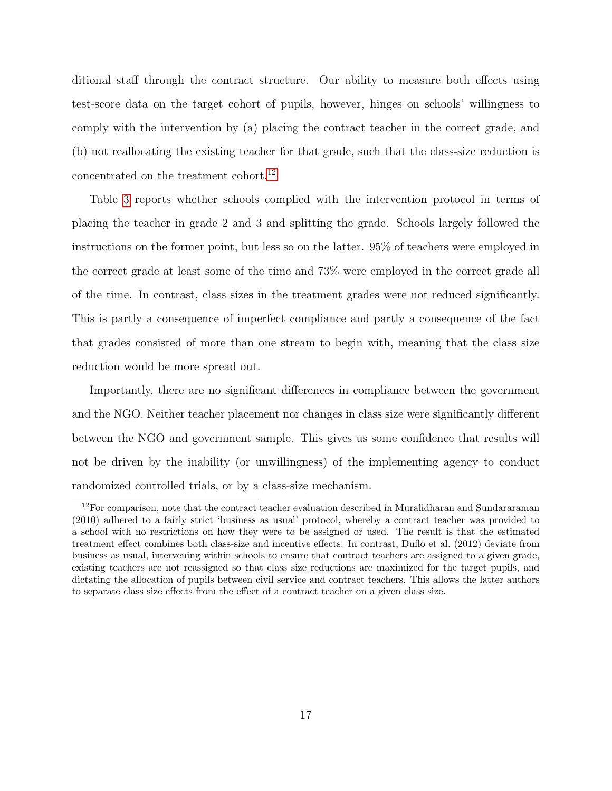ditional staff through the contract structure. Our ability to measure both effects using test-score data on the target cohort of pupils, however, hinges on schools' willingness to comply with the intervention by (a) placing the contract teacher in the correct grade, and (b) not reallocating the existing teacher for that grade, such that the class-size reduction is concentrated on the treatment cohort.<sup>[12](#page-0-0)</sup>

Table [3](#page-44-0) reports whether schools complied with the intervention protocol in terms of placing the teacher in grade 2 and 3 and splitting the grade. Schools largely followed the instructions on the former point, but less so on the latter. 95% of teachers were employed in the correct grade at least some of the time and 73% were employed in the correct grade all of the time. In contrast, class sizes in the treatment grades were not reduced significantly. This is partly a consequence of imperfect compliance and partly a consequence of the fact that grades consisted of more than one stream to begin with, meaning that the class size reduction would be more spread out.

Importantly, there are no significant differences in compliance between the government and the NGO. Neither teacher placement nor changes in class size were significantly different between the NGO and government sample. This gives us some confidence that results will not be driven by the inability (or unwillingness) of the implementing agency to conduct randomized controlled trials, or by a class-size mechanism.

 $12$ For comparison, note that the contract teacher evaluation described in Muralidharan and Sundararaman (2010) adhered to a fairly strict 'business as usual' protocol, whereby a contract teacher was provided to a school with no restrictions on how they were to be assigned or used. The result is that the estimated treatment effect combines both class-size and incentive effects. In contrast, Duflo et al. (2012) deviate from business as usual, intervening within schools to ensure that contract teachers are assigned to a given grade, existing teachers are not reassigned so that class size reductions are maximized for the target pupils, and dictating the allocation of pupils between civil service and contract teachers. This allows the latter authors to separate class size effects from the effect of a contract teacher on a given class size.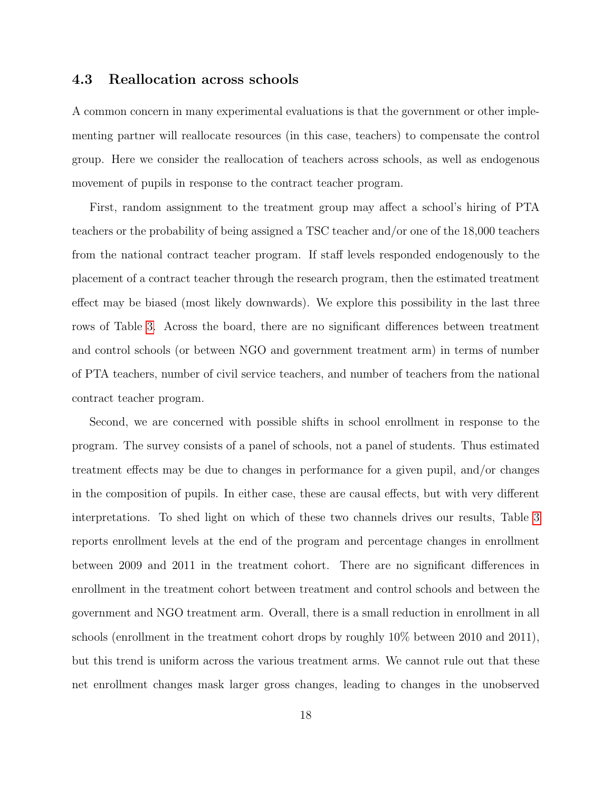#### <span id="page-17-0"></span>4.3 Reallocation across schools

A common concern in many experimental evaluations is that the government or other implementing partner will reallocate resources (in this case, teachers) to compensate the control group. Here we consider the reallocation of teachers across schools, as well as endogenous movement of pupils in response to the contract teacher program.

First, random assignment to the treatment group may affect a school's hiring of PTA teachers or the probability of being assigned a TSC teacher and/or one of the 18,000 teachers from the national contract teacher program. If staff levels responded endogenously to the placement of a contract teacher through the research program, then the estimated treatment effect may be biased (most likely downwards). We explore this possibility in the last three rows of Table [3.](#page-44-0) Across the board, there are no significant differences between treatment and control schools (or between NGO and government treatment arm) in terms of number of PTA teachers, number of civil service teachers, and number of teachers from the national contract teacher program.

Second, we are concerned with possible shifts in school enrollment in response to the program. The survey consists of a panel of schools, not a panel of students. Thus estimated treatment effects may be due to changes in performance for a given pupil, and/or changes in the composition of pupils. In either case, these are causal effects, but with very different interpretations. To shed light on which of these two channels drives our results, Table [3](#page-44-0) reports enrollment levels at the end of the program and percentage changes in enrollment between 2009 and 2011 in the treatment cohort. There are no significant differences in enrollment in the treatment cohort between treatment and control schools and between the government and NGO treatment arm. Overall, there is a small reduction in enrollment in all schools (enrollment in the treatment cohort drops by roughly 10% between 2010 and 2011), but this trend is uniform across the various treatment arms. We cannot rule out that these net enrollment changes mask larger gross changes, leading to changes in the unobserved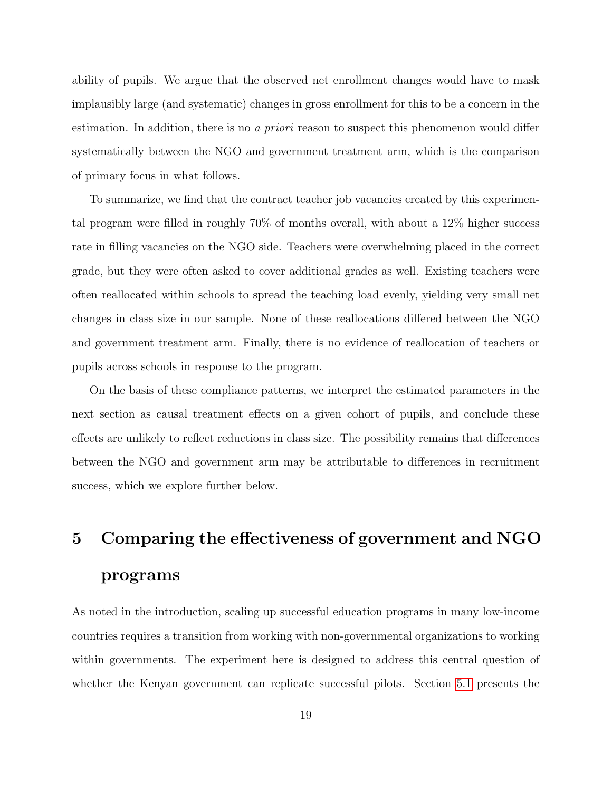ability of pupils. We argue that the observed net enrollment changes would have to mask implausibly large (and systematic) changes in gross enrollment for this to be a concern in the estimation. In addition, there is no a priori reason to suspect this phenomenon would differ systematically between the NGO and government treatment arm, which is the comparison of primary focus in what follows.

To summarize, we find that the contract teacher job vacancies created by this experimental program were filled in roughly 70% of months overall, with about a 12% higher success rate in filling vacancies on the NGO side. Teachers were overwhelming placed in the correct grade, but they were often asked to cover additional grades as well. Existing teachers were often reallocated within schools to spread the teaching load evenly, yielding very small net changes in class size in our sample. None of these reallocations differed between the NGO and government treatment arm. Finally, there is no evidence of reallocation of teachers or pupils across schools in response to the program.

On the basis of these compliance patterns, we interpret the estimated parameters in the next section as causal treatment effects on a given cohort of pupils, and conclude these effects are unlikely to reflect reductions in class size. The possibility remains that differences between the NGO and government arm may be attributable to differences in recruitment success, which we explore further below.

# 5 Comparing the effectiveness of government and NGO programs

As noted in the introduction, scaling up successful education programs in many low-income countries requires a transition from working with non-governmental organizations to working within governments. The experiment here is designed to address this central question of whether the Kenyan government can replicate successful pilots. Section [5.1](#page-19-0) presents the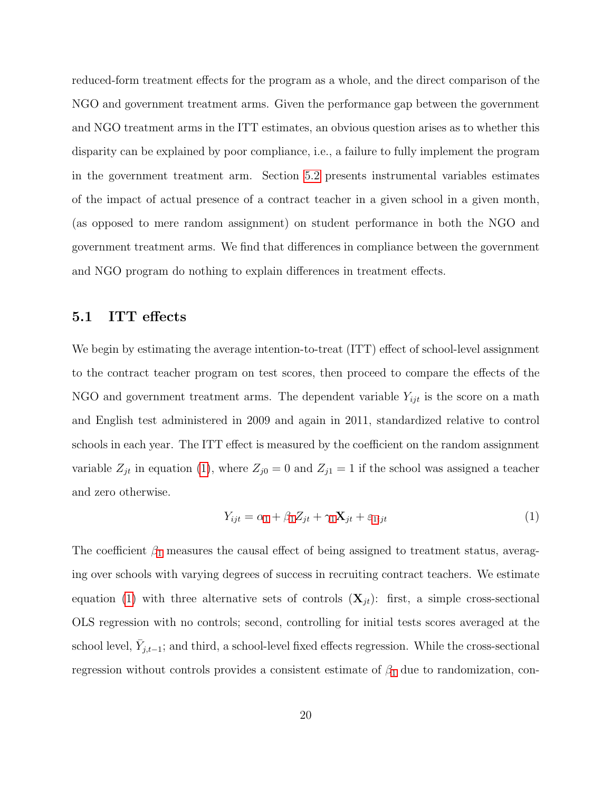reduced-form treatment effects for the program as a whole, and the direct comparison of the NGO and government treatment arms. Given the performance gap between the government and NGO treatment arms in the ITT estimates, an obvious question arises as to whether this disparity can be explained by poor compliance, i.e., a failure to fully implement the program in the government treatment arm. Section [5.2](#page-21-0) presents instrumental variables estimates of the impact of actual presence of a contract teacher in a given school in a given month, (as opposed to mere random assignment) on student performance in both the NGO and government treatment arms. We find that differences in compliance between the government and NGO program do nothing to explain differences in treatment effects.

#### <span id="page-19-0"></span>5.1 ITT effects

We begin by estimating the average intention-to-treat (ITT) effect of school-level assignment to the contract teacher program on test scores, then proceed to compare the effects of the NGO and government treatment arms. The dependent variable  $Y_{ijt}$  is the score on a math and English test administered in 2009 and again in 2011, standardized relative to control schools in each year. The ITT effect is measured by the coefficient on the random assignment variable  $Z_{jt}$  in equation [\(1\)](#page-19-1), where  $Z_{j0} = 0$  and  $Z_{j1} = 1$  if the school was assigned a teacher and zero otherwise.

<span id="page-19-1"></span>
$$
Y_{ijt} = \alpha_1 + \beta_1 Z_{jt} + \gamma_1 \mathbf{X}_{jt} + \varepsilon_{1ijt} \tag{1}
$$

The coefficient  $\beta_1$  $\beta_1$  measures the causal effect of being assigned to treatment status, averaging over schools with varying degrees of success in recruiting contract teachers. We estimate equation [\(1\)](#page-19-1) with three alternative sets of controls  $(X_{it})$ : first, a simple cross-sectional OLS regression with no controls; second, controlling for initial tests scores averaged at the school level,  $\bar{Y}_{j,t-1}$ ; and third, a school-level fixed effects regression. While the cross-sectional regression without controls provides a consistent estimate of  $\beta_1$  $\beta_1$  due to randomization, con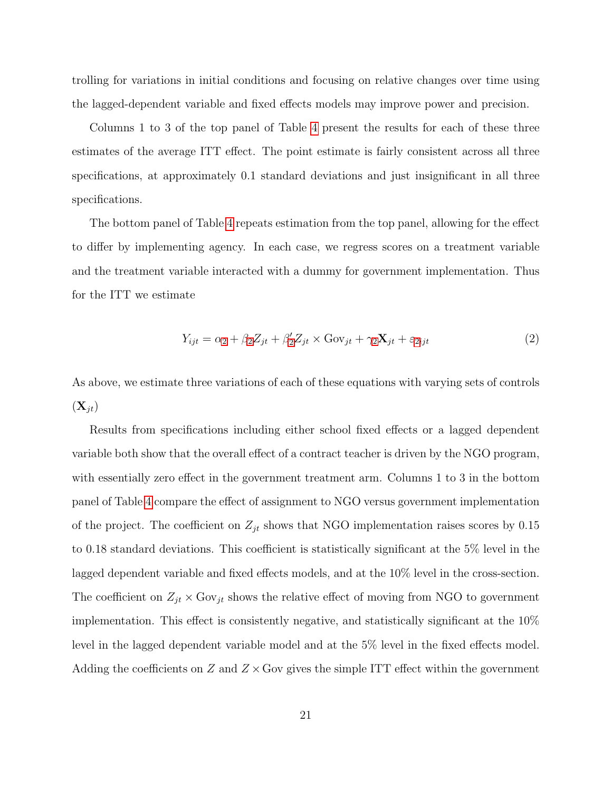trolling for variations in initial conditions and focusing on relative changes over time using the lagged-dependent variable and fixed effects models may improve power and precision.

Columns 1 to 3 of the top panel of Table [4](#page-45-0) present the results for each of these three estimates of the average ITT effect. The point estimate is fairly consistent across all three specifications, at approximately 0.1 standard deviations and just insignificant in all three specifications.

The bottom panel of Table [4](#page-45-0) repeats estimation from the top panel, allowing for the effect to differ by implementing agency. In each case, we regress scores on a treatment variable and the treatment variable interacted with a dummy for government implementation. Thus for the ITT we estimate

<span id="page-20-0"></span>
$$
Y_{ijt} = \alpha_2 + \beta_2 Z_{jt} + \beta_2' Z_{jt} \times \text{Gov}_{jt} + \gamma_2 \mathbf{X}_{jt} + \varepsilon_{2ijt}
$$
\n
$$
\tag{2}
$$

As above, we estimate three variations of each of these equations with varying sets of controls  $(\mathbf{X}_{it})$ 

Results from specifications including either school fixed effects or a lagged dependent variable both show that the overall effect of a contract teacher is driven by the NGO program, with essentially zero effect in the government treatment arm. Columns 1 to 3 in the bottom panel of Table [4](#page-45-0) compare the effect of assignment to NGO versus government implementation of the project. The coefficient on  $Z_{jt}$  shows that NGO implementation raises scores by 0.15 to 0.18 standard deviations. This coefficient is statistically significant at the 5% level in the lagged dependent variable and fixed effects models, and at the 10% level in the cross-section. The coefficient on  $Z_{jt} \times \text{Gov}_{jt}$  shows the relative effect of moving from NGO to government implementation. This effect is consistently negative, and statistically significant at the 10% level in the lagged dependent variable model and at the 5% level in the fixed effects model. Adding the coefficients on  $Z$  and  $Z \times$  Gov gives the simple ITT effect within the government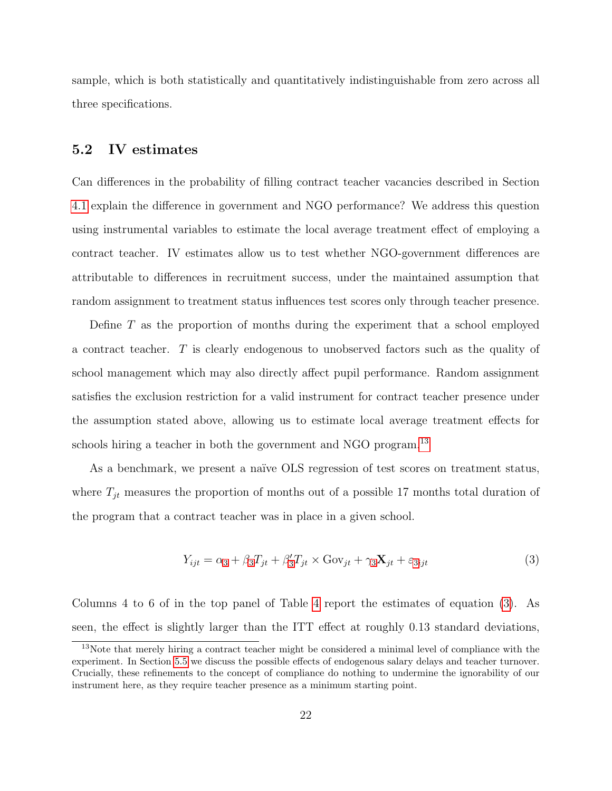sample, which is both statistically and quantitatively indistinguishable from zero across all three specifications.

#### <span id="page-21-0"></span>5.2 IV estimates

Can differences in the probability of filling contract teacher vacancies described in Section [4.1](#page-14-0) explain the difference in government and NGO performance? We address this question using instrumental variables to estimate the local average treatment effect of employing a contract teacher. IV estimates allow us to test whether NGO-government differences are attributable to differences in recruitment success, under the maintained assumption that random assignment to treatment status influences test scores only through teacher presence.

Define  $T$  as the proportion of months during the experiment that a school employed a contract teacher. T is clearly endogenous to unobserved factors such as the quality of school management which may also directly affect pupil performance. Random assignment satisfies the exclusion restriction for a valid instrument for contract teacher presence under the assumption stated above, allowing us to estimate local average treatment effects for schools hiring a teacher in both the government and NGO program.<sup>[13](#page-0-0)</sup>

As a benchmark, we present a naïve OLS regression of test scores on treatment status, where  $T_{jt}$  measures the proportion of months out of a possible 17 months total duration of the program that a contract teacher was in place in a given school.

<span id="page-21-1"></span>
$$
Y_{ijt} = \alpha_3 + \beta_3 T_{jt} + \beta'_3 T_{jt} \times \text{Gov}_{jt} + \gamma_3 \mathbf{X}_{jt} + \varepsilon_{3ijt}
$$
\n(3)

Columns 4 to 6 of in the top panel of Table [4](#page-45-0) report the estimates of equation [\(3\)](#page-21-1). As seen, the effect is slightly larger than the ITT effect at roughly 0.13 standard deviations,

<sup>13</sup>Note that merely hiring a contract teacher might be considered a minimal level of compliance with the experiment. In Section [5.5](#page-25-0) we discuss the possible effects of endogenous salary delays and teacher turnover. Crucially, these refinements to the concept of compliance do nothing to undermine the ignorability of our instrument here, as they require teacher presence as a minimum starting point.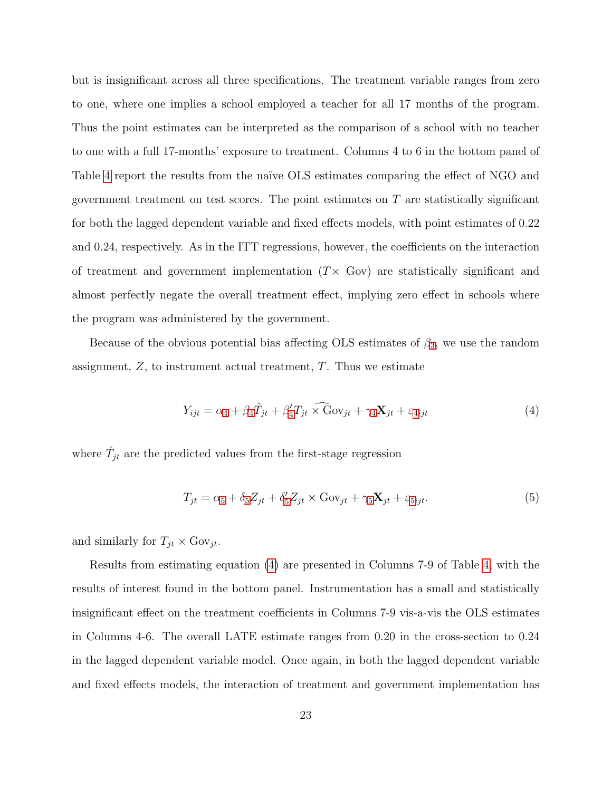but is insignificant across all three specifications. The treatment variable ranges from zero to one, where one implies a school employed a teacher for all 17 months of the program. Thus the point estimates can be interpreted as the comparison of a school with no teacher to one with a full 17-months' exposure to treatment. Columns 4 to 6 in the bottom panel of Table [4](#page-45-0) report the results from the naïve OLS estimates comparing the effect of NGO and government treatment on test scores. The point estimates on  $T$  are statistically significant for both the lagged dependent variable and fixed effects models, with point estimates of 0.22 and 0.24, respectively. As in the ITT regressions, however, the coefficients on the interaction of treatment and government implementation  $(T \times G$ ov) are statistically significant and almost perfectly negate the overall treatment effect, implying zero effect in schools where the program was administered by the government.

Because of the obvious potential bias affecting OLS estimates of  $\beta_3$  $\beta_3$ , we use the random assignment,  $Z$ , to instrument actual treatment,  $T$ . Thus we estimate

<span id="page-22-0"></span>
$$
Y_{ijt} = \alpha_4 + \beta_4 \hat{T}_{jt} + \beta'_4 T_{jt} \widehat{\times} \text{Gov}_{jt} + \gamma_4 \mathbf{X}_{jt} + \varepsilon_{4ijt}
$$
(4)

where  $\hat{T}_{jt}$  are the predicted values from the first-stage regression

<span id="page-22-1"></span>
$$
T_{jt} = \alpha_5 + \delta_5 Z_{jt} + \delta'_5 Z_{jt} \times \text{Gov}_{jt} + \gamma_5 \mathbf{X}_{jt} + \varepsilon_{5ijt}.
$$
\n
$$
\tag{5}
$$

and similarly for  $T_{jt} \times \text{Gov}_{jt}$ .

Results from estimating equation [\(4\)](#page-22-0) are presented in Columns 7-9 of Table [4,](#page-45-0) with the results of interest found in the bottom panel. Instrumentation has a small and statistically insignificant effect on the treatment coefficients in Columns 7-9 vis-a-vis the OLS estimates in Columns 4-6. The overall LATE estimate ranges from 0.20 in the cross-section to 0.24 in the lagged dependent variable model. Once again, in both the lagged dependent variable and fixed effects models, the interaction of treatment and government implementation has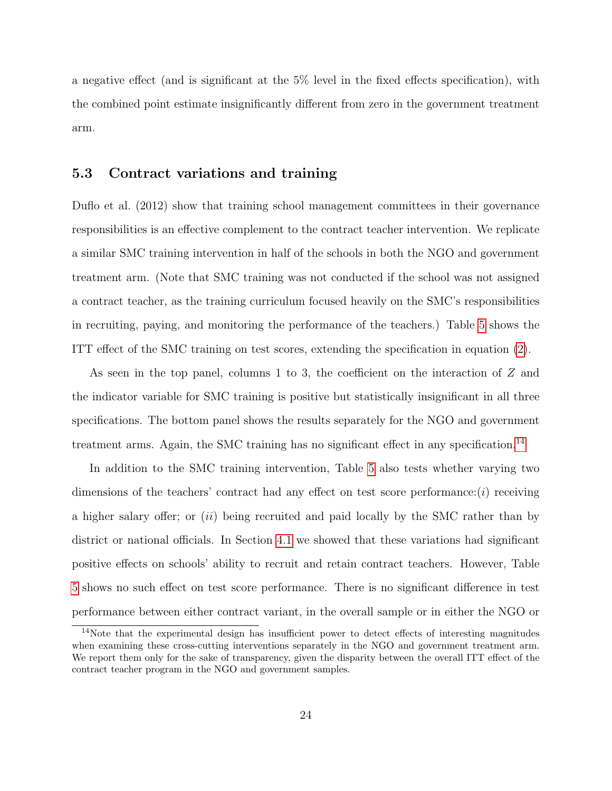a negative effect (and is significant at the 5% level in the fixed effects specification), with the combined point estimate insignificantly different from zero in the government treatment arm.

#### <span id="page-23-0"></span>5.3 Contract variations and training

Duflo et al. (2012) show that training school management committees in their governance responsibilities is an effective complement to the contract teacher intervention. We replicate a similar SMC training intervention in half of the schools in both the NGO and government treatment arm. (Note that SMC training was not conducted if the school was not assigned a contract teacher, as the training curriculum focused heavily on the SMC's responsibilities in recruiting, paying, and monitoring the performance of the teachers.) Table [5](#page-46-0) shows the ITT effect of the SMC training on test scores, extending the specification in equation [\(2\)](#page-20-0).

As seen in the top panel, columns 1 to 3, the coefficient on the interaction of Z and the indicator variable for SMC training is positive but statistically insignificant in all three specifications. The bottom panel shows the results separately for the NGO and government treatment arms. Again, the SMC training has no significant effect in any specification.<sup>[14](#page-0-0)</sup>

In addition to the SMC training intervention, Table [5](#page-46-0) also tests whether varying two dimensions of the teachers' contract had any effect on test score performance: $(i)$  receiving a higher salary offer; or  $(ii)$  being recruited and paid locally by the SMC rather than by district or national officials. In Section [4.1](#page-14-0) we showed that these variations had significant positive effects on schools' ability to recruit and retain contract teachers. However, Table [5](#page-46-0) shows no such effect on test score performance. There is no significant difference in test performance between either contract variant, in the overall sample or in either the NGO or

<sup>&</sup>lt;sup>14</sup>Note that the experimental design has insufficient power to detect effects of interesting magnitudes when examining these cross-cutting interventions separately in the NGO and government treatment arm. We report them only for the sake of transparency, given the disparity between the overall ITT effect of the contract teacher program in the NGO and government samples.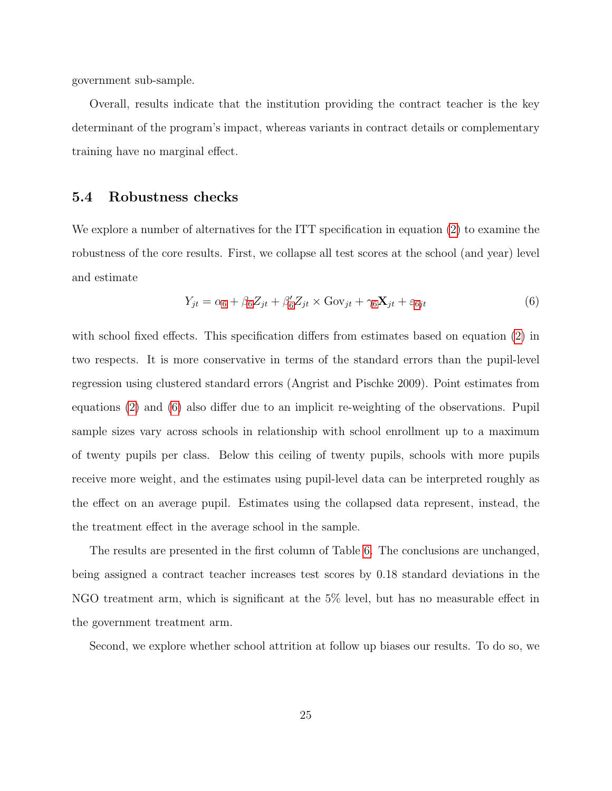government sub-sample.

Overall, results indicate that the institution providing the contract teacher is the key determinant of the program's impact, whereas variants in contract details or complementary training have no marginal effect.

#### <span id="page-24-0"></span>5.4 Robustness checks

We explore a number of alternatives for the ITT specification in equation  $(2)$  to examine the robustness of the core results. First, we collapse all test scores at the school (and year) level and estimate

<span id="page-24-1"></span>
$$
Y_{jt} = \alpha_6 + \beta_6 Z_{jt} + \beta'_6 Z_{jt} \times \text{Gov}_{jt} + \gamma_6 \mathbf{X}_{jt} + \varepsilon_{6jt}
$$
\n
$$
\tag{6}
$$

with school fixed effects. This specification differs from estimates based on equation [\(2\)](#page-20-0) in two respects. It is more conservative in terms of the standard errors than the pupil-level regression using clustered standard errors (Angrist and Pischke 2009). Point estimates from equations [\(2\)](#page-20-0) and [\(6\)](#page-24-1) also differ due to an implicit re-weighting of the observations. Pupil sample sizes vary across schools in relationship with school enrollment up to a maximum of twenty pupils per class. Below this ceiling of twenty pupils, schools with more pupils receive more weight, and the estimates using pupil-level data can be interpreted roughly as the effect on an average pupil. Estimates using the collapsed data represent, instead, the the treatment effect in the average school in the sample.

The results are presented in the first column of Table [6.](#page-47-0) The conclusions are unchanged, being assigned a contract teacher increases test scores by 0.18 standard deviations in the NGO treatment arm, which is significant at the 5% level, but has no measurable effect in the government treatment arm.

Second, we explore whether school attrition at follow up biases our results. To do so, we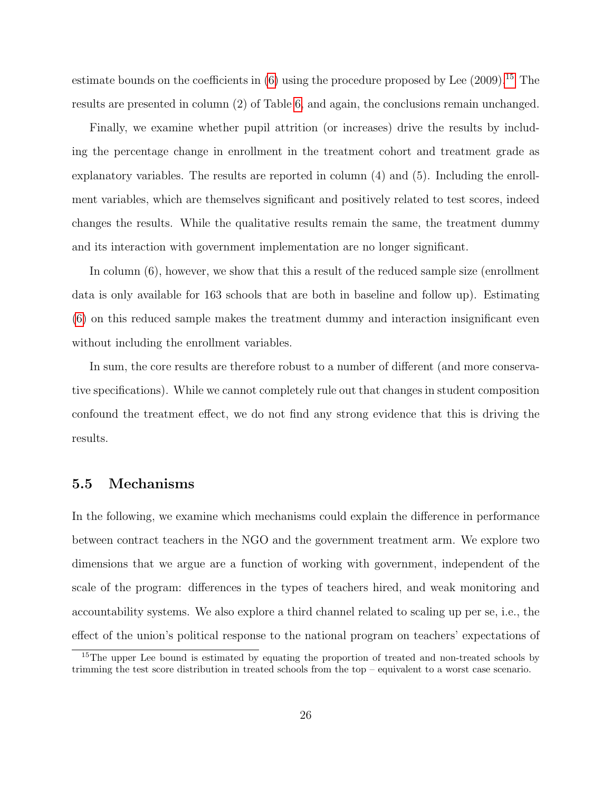estimate bounds on the coefficients in  $(6)$  using the procedure proposed by Lee  $(2009).$ <sup>[15](#page-0-0)</sup> The results are presented in column (2) of Table [6,](#page-47-0) and again, the conclusions remain unchanged.

Finally, we examine whether pupil attrition (or increases) drive the results by including the percentage change in enrollment in the treatment cohort and treatment grade as explanatory variables. The results are reported in column (4) and (5). Including the enrollment variables, which are themselves significant and positively related to test scores, indeed changes the results. While the qualitative results remain the same, the treatment dummy and its interaction with government implementation are no longer significant.

In column (6), however, we show that this a result of the reduced sample size (enrollment data is only available for 163 schools that are both in baseline and follow up). Estimating [\(6\)](#page-24-1) on this reduced sample makes the treatment dummy and interaction insignificant even without including the enrollment variables.

In sum, the core results are therefore robust to a number of different (and more conservative specifications). While we cannot completely rule out that changes in student composition confound the treatment effect, we do not find any strong evidence that this is driving the results.

#### <span id="page-25-0"></span>5.5 Mechanisms

In the following, we examine which mechanisms could explain the difference in performance between contract teachers in the NGO and the government treatment arm. We explore two dimensions that we argue are a function of working with government, independent of the scale of the program: differences in the types of teachers hired, and weak monitoring and accountability systems. We also explore a third channel related to scaling up per se, i.e., the effect of the union's political response to the national program on teachers' expectations of

<sup>&</sup>lt;sup>15</sup>The upper Lee bound is estimated by equating the proportion of treated and non-treated schools by trimming the test score distribution in treated schools from the top – equivalent to a worst case scenario.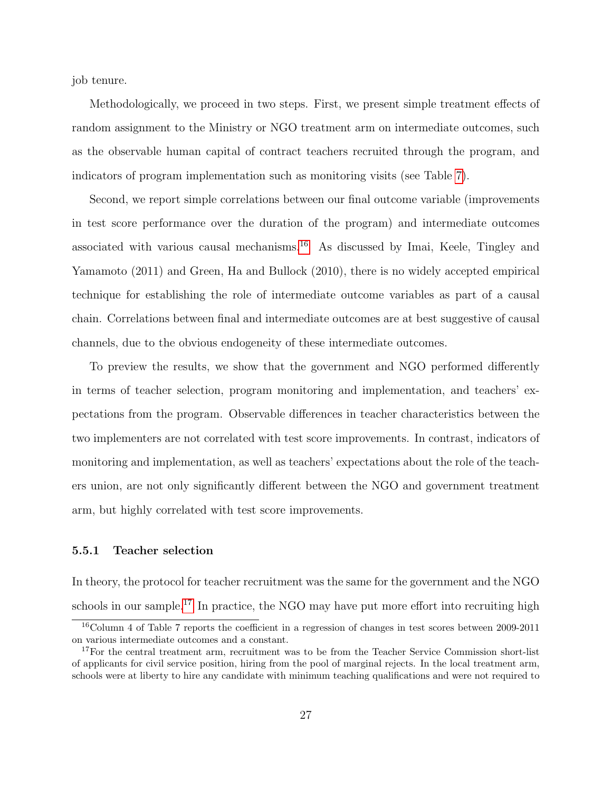job tenure.

Methodologically, we proceed in two steps. First, we present simple treatment effects of random assignment to the Ministry or NGO treatment arm on intermediate outcomes, such as the observable human capital of contract teachers recruited through the program, and indicators of program implementation such as monitoring visits (see Table [7\)](#page-48-0).

Second, we report simple correlations between our final outcome variable (improvements in test score performance over the duration of the program) and intermediate outcomes associated with various causal mechanisms.<sup>[16](#page-0-0)</sup> As discussed by Imai, Keele, Tingley and Yamamoto (2011) and Green, Ha and Bullock (2010), there is no widely accepted empirical technique for establishing the role of intermediate outcome variables as part of a causal chain. Correlations between final and intermediate outcomes are at best suggestive of causal channels, due to the obvious endogeneity of these intermediate outcomes.

To preview the results, we show that the government and NGO performed differently in terms of teacher selection, program monitoring and implementation, and teachers' expectations from the program. Observable differences in teacher characteristics between the two implementers are not correlated with test score improvements. In contrast, indicators of monitoring and implementation, as well as teachers' expectations about the role of the teachers union, are not only significantly different between the NGO and government treatment arm, but highly correlated with test score improvements.

#### 5.5.1 Teacher selection

In theory, the protocol for teacher recruitment was the same for the government and the NGO schools in our sample.<sup>[17](#page-0-0)</sup> In practice, the NGO may have put more effort into recruiting high

<sup>16</sup>Column 4 of Table 7 reports the coefficient in a regression of changes in test scores between 2009-2011 on various intermediate outcomes and a constant.

<sup>&</sup>lt;sup>17</sup>For the central treatment arm, recruitment was to be from the Teacher Service Commission short-list of applicants for civil service position, hiring from the pool of marginal rejects. In the local treatment arm, schools were at liberty to hire any candidate with minimum teaching qualifications and were not required to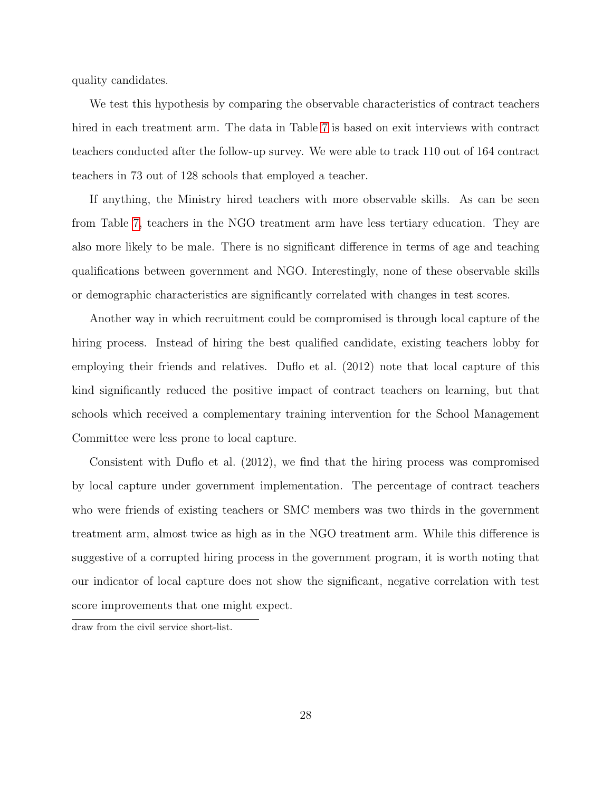quality candidates.

We test this hypothesis by comparing the observable characteristics of contract teachers hired in each treatment arm. The data in Table [7](#page-48-0) is based on exit interviews with contract teachers conducted after the follow-up survey. We were able to track 110 out of 164 contract teachers in 73 out of 128 schools that employed a teacher.

If anything, the Ministry hired teachers with more observable skills. As can be seen from Table [7,](#page-48-0) teachers in the NGO treatment arm have less tertiary education. They are also more likely to be male. There is no significant difference in terms of age and teaching qualifications between government and NGO. Interestingly, none of these observable skills or demographic characteristics are significantly correlated with changes in test scores.

Another way in which recruitment could be compromised is through local capture of the hiring process. Instead of hiring the best qualified candidate, existing teachers lobby for employing their friends and relatives. Duflo et al. (2012) note that local capture of this kind significantly reduced the positive impact of contract teachers on learning, but that schools which received a complementary training intervention for the School Management Committee were less prone to local capture.

Consistent with Duflo et al. (2012), we find that the hiring process was compromised by local capture under government implementation. The percentage of contract teachers who were friends of existing teachers or SMC members was two thirds in the government treatment arm, almost twice as high as in the NGO treatment arm. While this difference is suggestive of a corrupted hiring process in the government program, it is worth noting that our indicator of local capture does not show the significant, negative correlation with test score improvements that one might expect.

draw from the civil service short-list.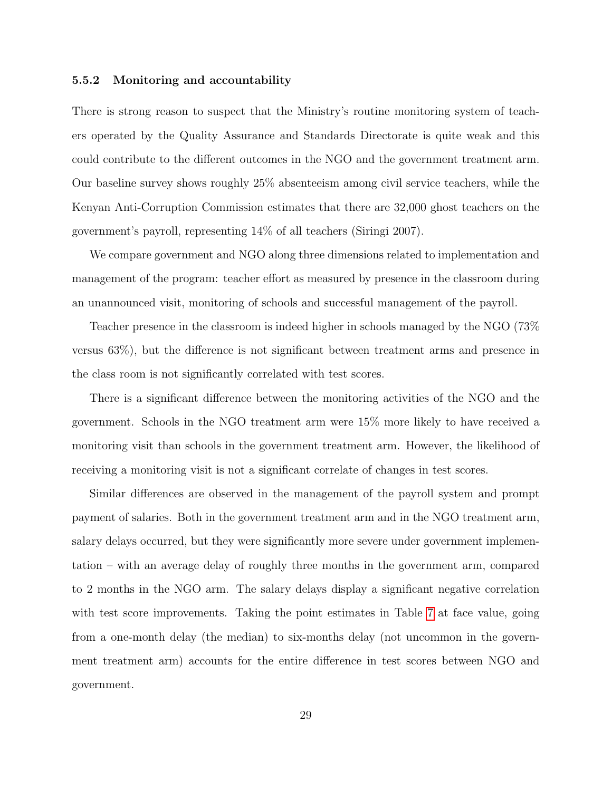#### 5.5.2 Monitoring and accountability

There is strong reason to suspect that the Ministry's routine monitoring system of teachers operated by the Quality Assurance and Standards Directorate is quite weak and this could contribute to the different outcomes in the NGO and the government treatment arm. Our baseline survey shows roughly 25% absenteeism among civil service teachers, while the Kenyan Anti-Corruption Commission estimates that there are 32,000 ghost teachers on the government's payroll, representing 14% of all teachers (Siringi 2007).

We compare government and NGO along three dimensions related to implementation and management of the program: teacher effort as measured by presence in the classroom during an unannounced visit, monitoring of schools and successful management of the payroll.

Teacher presence in the classroom is indeed higher in schools managed by the NGO (73% versus 63%), but the difference is not significant between treatment arms and presence in the class room is not significantly correlated with test scores.

There is a significant difference between the monitoring activities of the NGO and the government. Schools in the NGO treatment arm were 15% more likely to have received a monitoring visit than schools in the government treatment arm. However, the likelihood of receiving a monitoring visit is not a significant correlate of changes in test scores.

Similar differences are observed in the management of the payroll system and prompt payment of salaries. Both in the government treatment arm and in the NGO treatment arm, salary delays occurred, but they were significantly more severe under government implementation – with an average delay of roughly three months in the government arm, compared to 2 months in the NGO arm. The salary delays display a significant negative correlation with test score improvements. Taking the point estimates in Table [7](#page-48-0) at face value, going from a one-month delay (the median) to six-months delay (not uncommon in the government treatment arm) accounts for the entire difference in test scores between NGO and government.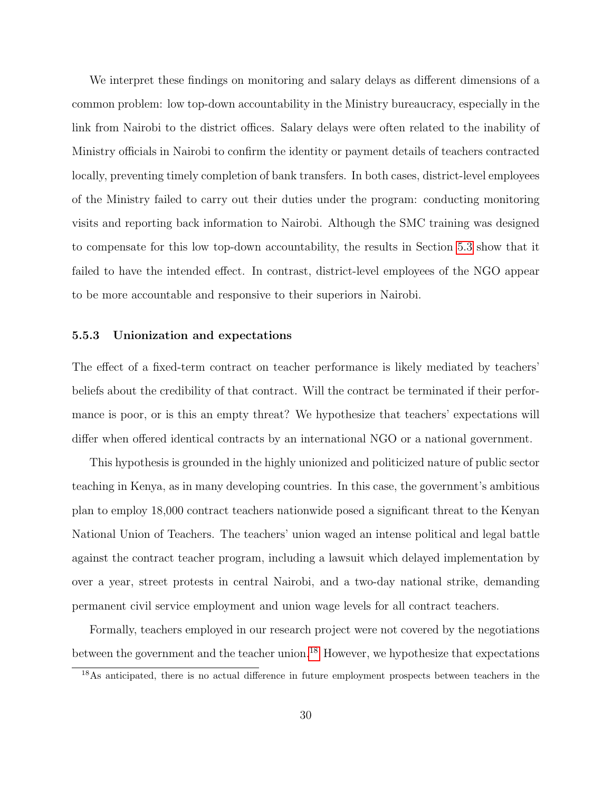We interpret these findings on monitoring and salary delays as different dimensions of a common problem: low top-down accountability in the Ministry bureaucracy, especially in the link from Nairobi to the district offices. Salary delays were often related to the inability of Ministry officials in Nairobi to confirm the identity or payment details of teachers contracted locally, preventing timely completion of bank transfers. In both cases, district-level employees of the Ministry failed to carry out their duties under the program: conducting monitoring visits and reporting back information to Nairobi. Although the SMC training was designed to compensate for this low top-down accountability, the results in Section [5.3](#page-23-0) show that it failed to have the intended effect. In contrast, district-level employees of the NGO appear to be more accountable and responsive to their superiors in Nairobi.

#### 5.5.3 Unionization and expectations

The effect of a fixed-term contract on teacher performance is likely mediated by teachers' beliefs about the credibility of that contract. Will the contract be terminated if their performance is poor, or is this an empty threat? We hypothesize that teachers' expectations will differ when offered identical contracts by an international NGO or a national government.

This hypothesis is grounded in the highly unionized and politicized nature of public sector teaching in Kenya, as in many developing countries. In this case, the government's ambitious plan to employ 18,000 contract teachers nationwide posed a significant threat to the Kenyan National Union of Teachers. The teachers' union waged an intense political and legal battle against the contract teacher program, including a lawsuit which delayed implementation by over a year, street protests in central Nairobi, and a two-day national strike, demanding permanent civil service employment and union wage levels for all contract teachers.

Formally, teachers employed in our research project were not covered by the negotiations between the government and the teacher union.<sup>[18](#page-0-0)</sup> However, we hypothesize that expectations

<sup>&</sup>lt;sup>18</sup>As anticipated, there is no actual difference in future employment prospects between teachers in the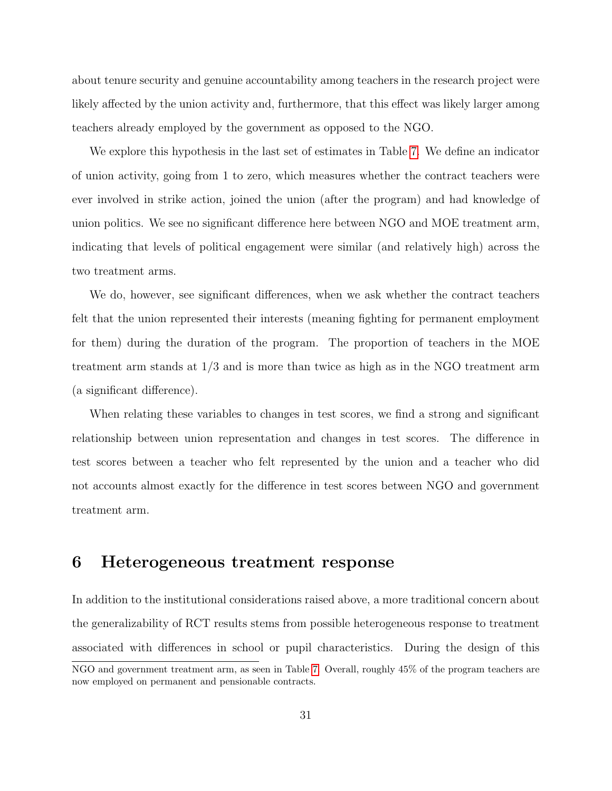about tenure security and genuine accountability among teachers in the research project were likely affected by the union activity and, furthermore, that this effect was likely larger among teachers already employed by the government as opposed to the NGO.

We explore this hypothesis in the last set of estimates in Table [7.](#page-48-0) We define an indicator of union activity, going from 1 to zero, which measures whether the contract teachers were ever involved in strike action, joined the union (after the program) and had knowledge of union politics. We see no significant difference here between NGO and MOE treatment arm, indicating that levels of political engagement were similar (and relatively high) across the two treatment arms.

We do, however, see significant differences, when we ask whether the contract teachers felt that the union represented their interests (meaning fighting for permanent employment for them) during the duration of the program. The proportion of teachers in the MOE treatment arm stands at 1/3 and is more than twice as high as in the NGO treatment arm (a significant difference).

When relating these variables to changes in test scores, we find a strong and significant relationship between union representation and changes in test scores. The difference in test scores between a teacher who felt represented by the union and a teacher who did not accounts almost exactly for the difference in test scores between NGO and government treatment arm.

### 6 Heterogeneous treatment response

In addition to the institutional considerations raised above, a more traditional concern about the generalizability of RCT results stems from possible heterogeneous response to treatment associated with differences in school or pupil characteristics. During the design of this

NGO and government treatment arm, as seen in Table [7.](#page-48-0) Overall, roughly 45% of the program teachers are now employed on permanent and pensionable contracts.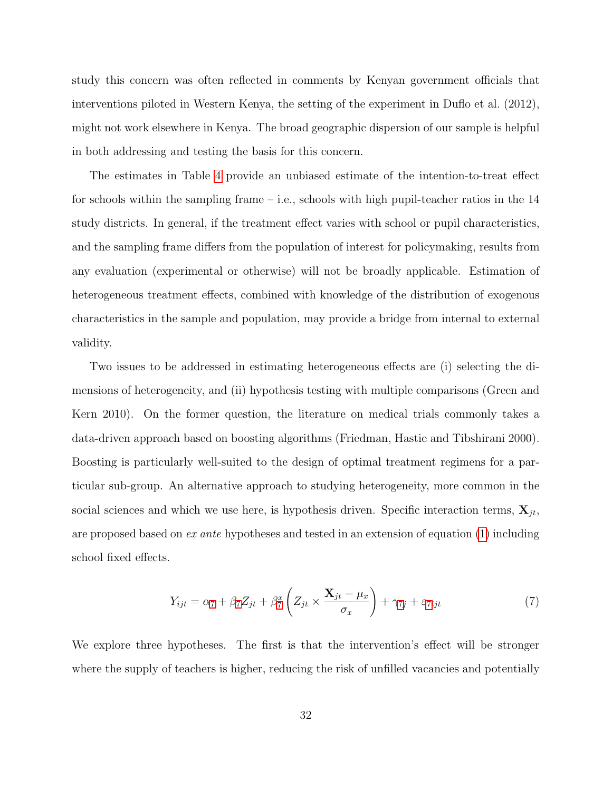study this concern was often reflected in comments by Kenyan government officials that interventions piloted in Western Kenya, the setting of the experiment in Duflo et al. (2012), might not work elsewhere in Kenya. The broad geographic dispersion of our sample is helpful in both addressing and testing the basis for this concern.

The estimates in Table [4](#page-45-0) provide an unbiased estimate of the intention-to-treat effect for schools within the sampling frame – i.e., schools with high pupil-teacher ratios in the  $14$ study districts. In general, if the treatment effect varies with school or pupil characteristics, and the sampling frame differs from the population of interest for policymaking, results from any evaluation (experimental or otherwise) will not be broadly applicable. Estimation of heterogeneous treatment effects, combined with knowledge of the distribution of exogenous characteristics in the sample and population, may provide a bridge from internal to external validity.

Two issues to be addressed in estimating heterogeneous effects are (i) selecting the dimensions of heterogeneity, and (ii) hypothesis testing with multiple comparisons (Green and Kern 2010). On the former question, the literature on medical trials commonly takes a data-driven approach based on boosting algorithms (Friedman, Hastie and Tibshirani 2000). Boosting is particularly well-suited to the design of optimal treatment regimens for a particular sub-group. An alternative approach to studying heterogeneity, more common in the social sciences and which we use here, is hypothesis driven. Specific interaction terms,  $\mathbf{X}_{jt}$ , are proposed based on  $ex$  ante hypotheses and tested in an extension of equation [\(1\)](#page-19-1) including school fixed effects.

<span id="page-31-0"></span>
$$
Y_{ijt} = \alpha_7 + \beta_7 Z_{jt} + \beta_7^x \left( Z_{jt} \times \frac{\mathbf{X}_{jt} - \mu_x}{\sigma_x} \right) + \gamma_{7j} + \varepsilon_{7ijt} \tag{7}
$$

We explore three hypotheses. The first is that the intervention's effect will be stronger where the supply of teachers is higher, reducing the risk of unfilled vacancies and potentially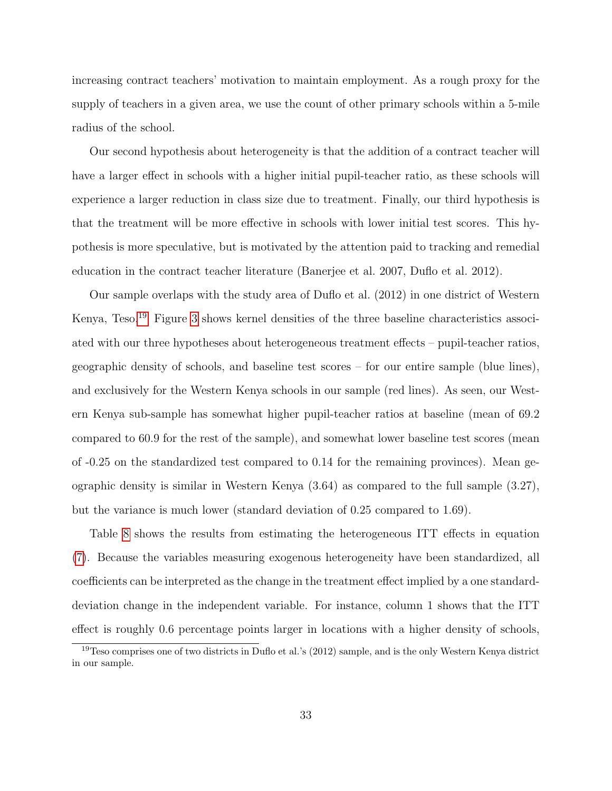increasing contract teachers' motivation to maintain employment. As a rough proxy for the supply of teachers in a given area, we use the count of other primary schools within a 5-mile radius of the school.

Our second hypothesis about heterogeneity is that the addition of a contract teacher will have a larger effect in schools with a higher initial pupil-teacher ratio, as these schools will experience a larger reduction in class size due to treatment. Finally, our third hypothesis is that the treatment will be more effective in schools with lower initial test scores. This hypothesis is more speculative, but is motivated by the attention paid to tracking and remedial education in the contract teacher literature (Banerjee et al. 2007, Duflo et al. 2012).

Our sample overlaps with the study area of Duflo et al. (2012) in one district of Western Kenya, Teso.[19](#page-0-0) Figure [3](#page-52-0) shows kernel densities of the three baseline characteristics associated with our three hypotheses about heterogeneous treatment effects – pupil-teacher ratios, geographic density of schools, and baseline test scores – for our entire sample (blue lines), and exclusively for the Western Kenya schools in our sample (red lines). As seen, our Western Kenya sub-sample has somewhat higher pupil-teacher ratios at baseline (mean of 69.2 compared to 60.9 for the rest of the sample), and somewhat lower baseline test scores (mean of -0.25 on the standardized test compared to 0.14 for the remaining provinces). Mean geographic density is similar in Western Kenya (3.64) as compared to the full sample (3.27), but the variance is much lower (standard deviation of 0.25 compared to 1.69).

Table [8](#page-49-0) shows the results from estimating the heterogeneous ITT effects in equation [\(7\)](#page-31-0). Because the variables measuring exogenous heterogeneity have been standardized, all coefficients can be interpreted as the change in the treatment effect implied by a one standarddeviation change in the independent variable. For instance, column 1 shows that the ITT effect is roughly 0.6 percentage points larger in locations with a higher density of schools,

<sup>19</sup>Teso comprises one of two districts in Duflo et al.'s (2012) sample, and is the only Western Kenya district in our sample.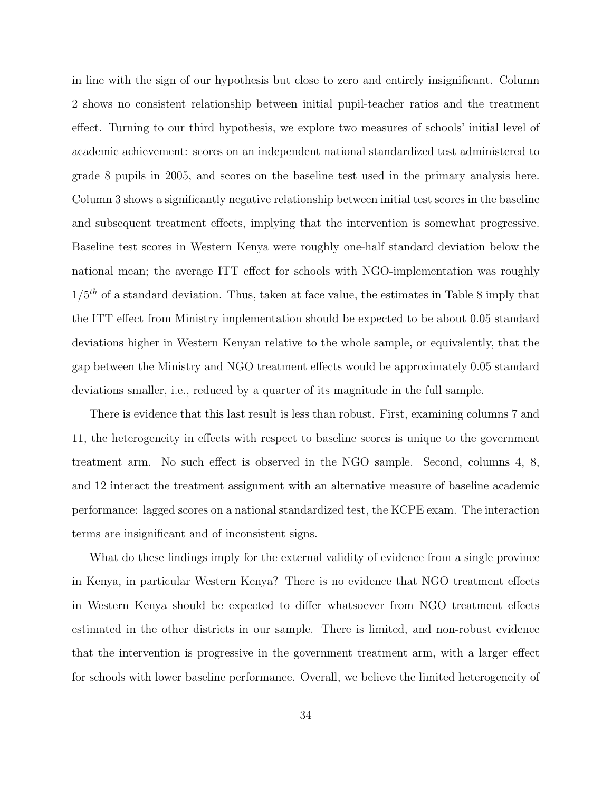in line with the sign of our hypothesis but close to zero and entirely insignificant. Column 2 shows no consistent relationship between initial pupil-teacher ratios and the treatment effect. Turning to our third hypothesis, we explore two measures of schools' initial level of academic achievement: scores on an independent national standardized test administered to grade 8 pupils in 2005, and scores on the baseline test used in the primary analysis here. Column 3 shows a significantly negative relationship between initial test scores in the baseline and subsequent treatment effects, implying that the intervention is somewhat progressive. Baseline test scores in Western Kenya were roughly one-half standard deviation below the national mean; the average ITT effect for schools with NGO-implementation was roughly  $1/5<sup>th</sup>$  of a standard deviation. Thus, taken at face value, the estimates in Table 8 imply that the ITT effect from Ministry implementation should be expected to be about 0.05 standard deviations higher in Western Kenyan relative to the whole sample, or equivalently, that the gap between the Ministry and NGO treatment effects would be approximately 0.05 standard deviations smaller, i.e., reduced by a quarter of its magnitude in the full sample.

There is evidence that this last result is less than robust. First, examining columns 7 and 11, the heterogeneity in effects with respect to baseline scores is unique to the government treatment arm. No such effect is observed in the NGO sample. Second, columns 4, 8, and 12 interact the treatment assignment with an alternative measure of baseline academic performance: lagged scores on a national standardized test, the KCPE exam. The interaction terms are insignificant and of inconsistent signs.

What do these findings imply for the external validity of evidence from a single province in Kenya, in particular Western Kenya? There is no evidence that NGO treatment effects in Western Kenya should be expected to differ whatsoever from NGO treatment effects estimated in the other districts in our sample. There is limited, and non-robust evidence that the intervention is progressive in the government treatment arm, with a larger effect for schools with lower baseline performance. Overall, we believe the limited heterogeneity of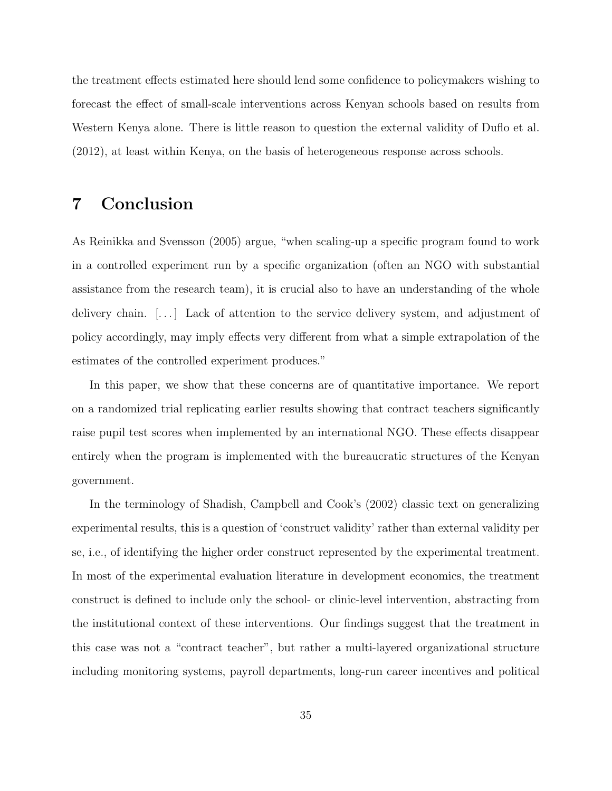the treatment effects estimated here should lend some confidence to policymakers wishing to forecast the effect of small-scale interventions across Kenyan schools based on results from Western Kenya alone. There is little reason to question the external validity of Duflo et al. (2012), at least within Kenya, on the basis of heterogeneous response across schools.

## 7 Conclusion

As Reinikka and Svensson (2005) argue, "when scaling-up a specific program found to work in a controlled experiment run by a specific organization (often an NGO with substantial assistance from the research team), it is crucial also to have an understanding of the whole delivery chain. [...] Lack of attention to the service delivery system, and adjustment of policy accordingly, may imply effects very different from what a simple extrapolation of the estimates of the controlled experiment produces."

In this paper, we show that these concerns are of quantitative importance. We report on a randomized trial replicating earlier results showing that contract teachers significantly raise pupil test scores when implemented by an international NGO. These effects disappear entirely when the program is implemented with the bureaucratic structures of the Kenyan government.

In the terminology of Shadish, Campbell and Cook's (2002) classic text on generalizing experimental results, this is a question of 'construct validity' rather than external validity per se, i.e., of identifying the higher order construct represented by the experimental treatment. In most of the experimental evaluation literature in development economics, the treatment construct is defined to include only the school- or clinic-level intervention, abstracting from the institutional context of these interventions. Our findings suggest that the treatment in this case was not a "contract teacher", but rather a multi-layered organizational structure including monitoring systems, payroll departments, long-run career incentives and political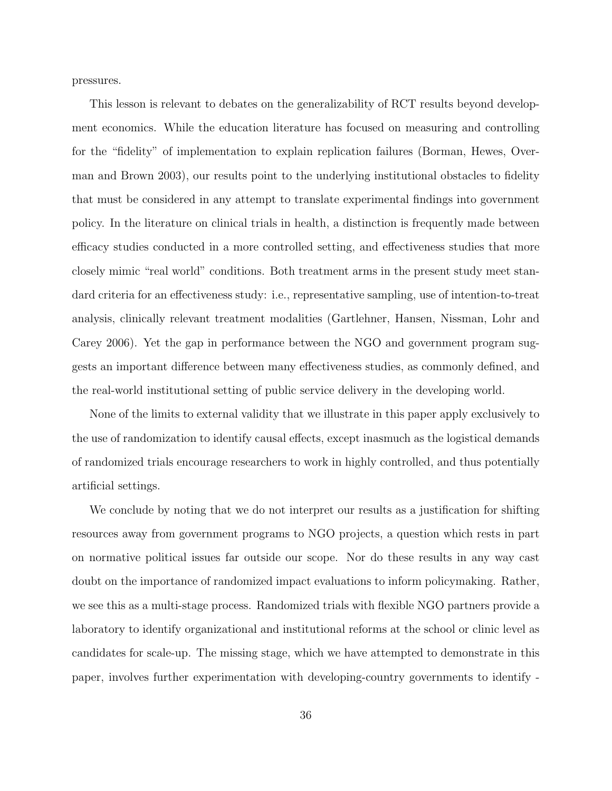pressures.

This lesson is relevant to debates on the generalizability of RCT results beyond development economics. While the education literature has focused on measuring and controlling for the "fidelity" of implementation to explain replication failures (Borman, Hewes, Overman and Brown 2003), our results point to the underlying institutional obstacles to fidelity that must be considered in any attempt to translate experimental findings into government policy. In the literature on clinical trials in health, a distinction is frequently made between efficacy studies conducted in a more controlled setting, and effectiveness studies that more closely mimic "real world" conditions. Both treatment arms in the present study meet standard criteria for an effectiveness study: i.e., representative sampling, use of intention-to-treat analysis, clinically relevant treatment modalities (Gartlehner, Hansen, Nissman, Lohr and Carey 2006). Yet the gap in performance between the NGO and government program suggests an important difference between many effectiveness studies, as commonly defined, and the real-world institutional setting of public service delivery in the developing world.

None of the limits to external validity that we illustrate in this paper apply exclusively to the use of randomization to identify causal effects, except inasmuch as the logistical demands of randomized trials encourage researchers to work in highly controlled, and thus potentially artificial settings.

We conclude by noting that we do not interpret our results as a justification for shifting resources away from government programs to NGO projects, a question which rests in part on normative political issues far outside our scope. Nor do these results in any way cast doubt on the importance of randomized impact evaluations to inform policymaking. Rather, we see this as a multi-stage process. Randomized trials with flexible NGO partners provide a laboratory to identify organizational and institutional reforms at the school or clinic level as candidates for scale-up. The missing stage, which we have attempted to demonstrate in this paper, involves further experimentation with developing-country governments to identify -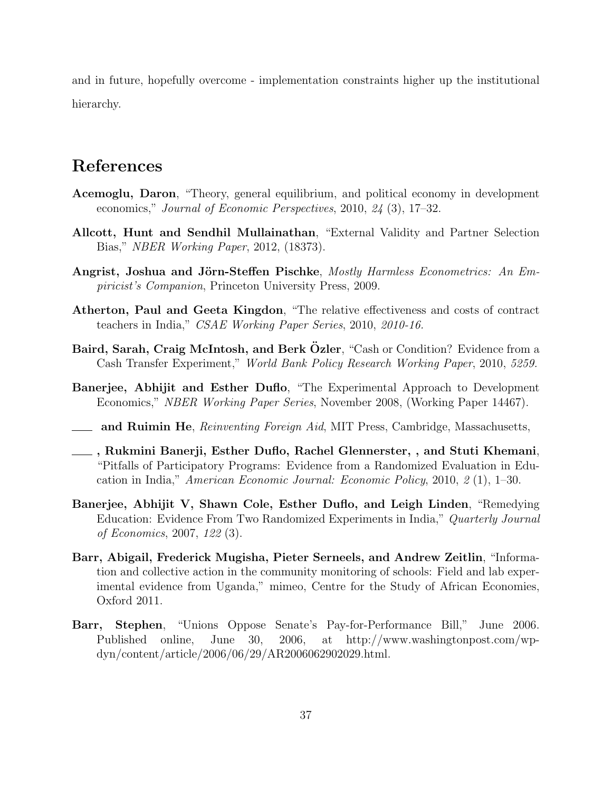and in future, hopefully overcome - implementation constraints higher up the institutional hierarchy.

## References

- Acemoglu, Daron, "Theory, general equilibrium, and political economy in development economics," Journal of Economic Perspectives, 2010, 24 (3), 17–32.
- Allcott, Hunt and Sendhil Mullainathan, "External Validity and Partner Selection Bias," NBER Working Paper, 2012, (18373).
- Angrist, Joshua and Jörn-Steffen Pischke, Mostly Harmless Econometrics: An Empiricist's Companion, Princeton University Press, 2009.
- Atherton, Paul and Geeta Kingdon, "The relative effectiveness and costs of contract teachers in India," CSAE Working Paper Series, 2010, 2010-16.
- Baird, Sarah, Craig McIntosh, and Berk Özler, "Cash or Condition? Evidence from a Cash Transfer Experiment," World Bank Policy Research Working Paper, 2010, 5259.
- Banerjee, Abhijit and Esther Duflo, "The Experimental Approach to Development Economics," NBER Working Paper Series, November 2008, (Working Paper 14467).
- **and Ruimin He**, Reinventing Foreign Aid, MIT Press, Cambridge, Massachusetts,
- , Rukmini Banerji, Esther Duflo, Rachel Glennerster, , and Stuti Khemani, "Pitfalls of Participatory Programs: Evidence from a Randomized Evaluation in Education in India," American Economic Journal: Economic Policy, 2010, 2 (1), 1–30.
- Banerjee, Abhijit V, Shawn Cole, Esther Duflo, and Leigh Linden, "Remedying Education: Evidence From Two Randomized Experiments in India," Quarterly Journal of Economics, 2007, 122 (3).
- Barr, Abigail, Frederick Mugisha, Pieter Serneels, and Andrew Zeitlin, "Information and collective action in the community monitoring of schools: Field and lab experimental evidence from Uganda," mimeo, Centre for the Study of African Economies, Oxford 2011.
- Barr, Stephen, "Unions Oppose Senate's Pay-for-Performance Bill," June 2006. Published online, June 30, 2006, at http://www.washingtonpost.com/wpdyn/content/article/2006/06/29/AR2006062902029.html.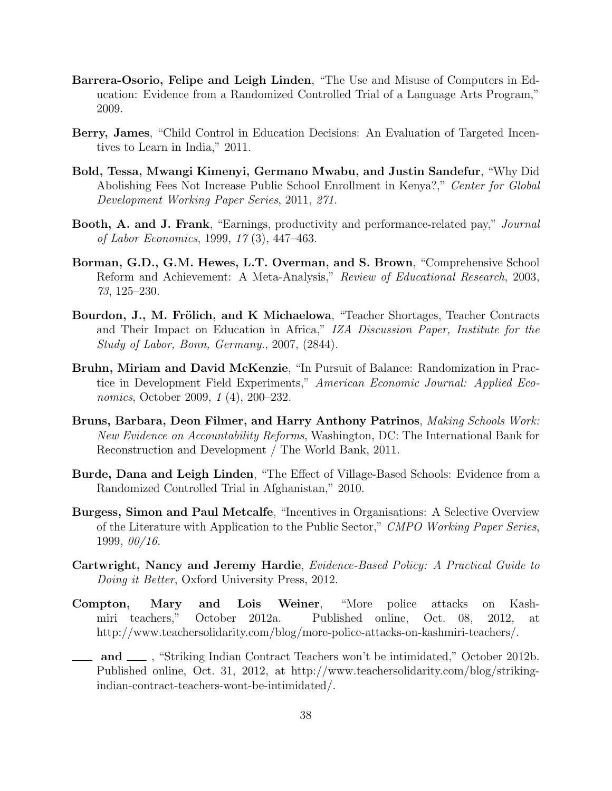- Barrera-Osorio, Felipe and Leigh Linden, "The Use and Misuse of Computers in Education: Evidence from a Randomized Controlled Trial of a Language Arts Program," 2009.
- Berry, James, "Child Control in Education Decisions: An Evaluation of Targeted Incentives to Learn in India," 2011.
- Bold, Tessa, Mwangi Kimenyi, Germano Mwabu, and Justin Sandefur, "Why Did Abolishing Fees Not Increase Public School Enrollment in Kenya?," Center for Global Development Working Paper Series, 2011, 271.
- Booth, A. and J. Frank, "Earnings, productivity and performance-related pay," Journal of Labor Economics, 1999, 17 (3), 447–463.
- Borman, G.D., G.M. Hewes, L.T. Overman, and S. Brown, "Comprehensive School Reform and Achievement: A Meta-Analysis," Review of Educational Research, 2003, 73, 125–230.
- Bourdon, J., M. Frölich, and K Michaelowa, "Teacher Shortages, Teacher Contracts and Their Impact on Education in Africa," IZA Discussion Paper, Institute for the Study of Labor, Bonn, Germany., 2007, (2844).
- Bruhn, Miriam and David McKenzie, "In Pursuit of Balance: Randomization in Practice in Development Field Experiments," American Economic Journal: Applied Economics, October 2009, 1 (4), 200–232.
- Bruns, Barbara, Deon Filmer, and Harry Anthony Patrinos, Making Schools Work: New Evidence on Accountability Reforms, Washington, DC: The International Bank for Reconstruction and Development / The World Bank, 2011.
- Burde, Dana and Leigh Linden, "The Effect of Village-Based Schools: Evidence from a Randomized Controlled Trial in Afghanistan," 2010.
- Burgess, Simon and Paul Metcalfe, "Incentives in Organisations: A Selective Overview of the Literature with Application to the Public Sector," CMPO Working Paper Series, 1999, 00/16.
- Cartwright, Nancy and Jeremy Hardie, Evidence-Based Policy: A Practical Guide to Doing it Better, Oxford University Press, 2012.
- Compton, Mary and Lois Weiner, "More police attacks on Kashmiri teachers," October 2012a. Published online, Oct. 08, 2012, at http://www.teachersolidarity.com/blog/more-police-attacks-on-kashmiri-teachers/.
- and  $\quad$ , "Striking Indian Contract Teachers won't be intimidated," October 2012b. Published online, Oct. 31, 2012, at http://www.teachersolidarity.com/blog/strikingindian-contract-teachers-wont-be-intimidated/.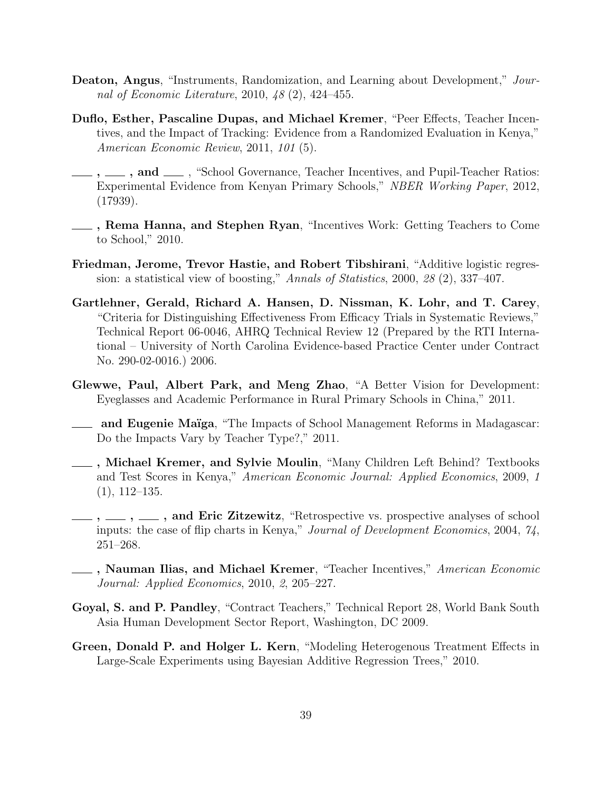- Deaton, Angus, "Instruments, Randomization, and Learning about Development," Journal of Economic Literature, 2010, 48 (2), 424–455.
- Duflo, Esther, Pascaline Dupas, and Michael Kremer, "Peer Effects, Teacher Incentives, and the Impact of Tracking: Evidence from a Randomized Evaluation in Kenya," American Economic Review, 2011, 101 (5).
- $\ldots$ , and  $\ldots$ , "School Governance, Teacher Incentives, and Pupil-Teacher Ratios: Experimental Evidence from Kenyan Primary Schools," NBER Working Paper, 2012, (17939).
- **EXECUTE:** Rema Hanna, and Stephen Ryan, "Incentives Work: Getting Teachers to Come to School," 2010.
- Friedman, Jerome, Trevor Hastie, and Robert Tibshirani, "Additive logistic regression: a statistical view of boosting," Annals of Statistics, 2000, 28 (2), 337–407.
- Gartlehner, Gerald, Richard A. Hansen, D. Nissman, K. Lohr, and T. Carey, "Criteria for Distinguishing Effectiveness From Efficacy Trials in Systematic Reviews," Technical Report 06-0046, AHRQ Technical Review 12 (Prepared by the RTI International – University of North Carolina Evidence-based Practice Center under Contract No. 290-02-0016.) 2006.
- Glewwe, Paul, Albert Park, and Meng Zhao, "A Better Vision for Development: Eyeglasses and Academic Performance in Rural Primary Schools in China," 2011.
- and Eugenie Maïga, "The Impacts of School Management Reforms in Madagascar: Do the Impacts Vary by Teacher Type?," 2011.
- , Michael Kremer, and Sylvie Moulin, "Many Children Left Behind? Textbooks and Test Scores in Kenya," American Economic Journal: Applied Economics, 2009, 1  $(1), 112-135.$
- $\ldots$ ,  $\ldots$ , and Eric Zitzewitz, "Retrospective vs. prospective analyses of school inputs: the case of flip charts in Kenya," Journal of Development Economics, 2004, 74, 251–268.
- , Nauman Ilias, and Michael Kremer, "Teacher Incentives," American Economic Journal: Applied Economics, 2010, 2, 205–227.
- Goyal, S. and P. Pandley, "Contract Teachers," Technical Report 28, World Bank South Asia Human Development Sector Report, Washington, DC 2009.
- Green, Donald P. and Holger L. Kern, "Modeling Heterogenous Treatment Effects in Large-Scale Experiments using Bayesian Additive Regression Trees," 2010.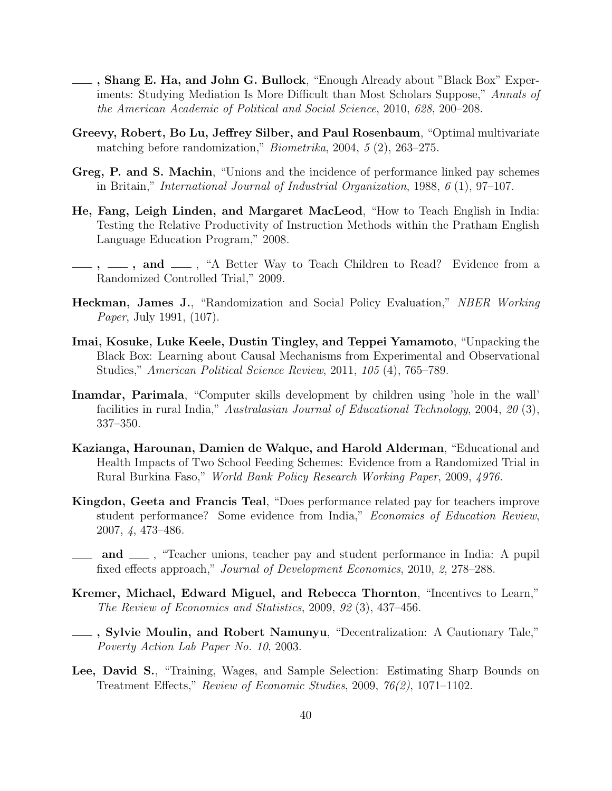- , Shang E. Ha, and John G. Bullock, "Enough Already about "Black Box" Experiments: Studying Mediation Is More Difficult than Most Scholars Suppose," Annals of the American Academic of Political and Social Science, 2010, 628, 200–208.
- Greevy, Robert, Bo Lu, Jeffrey Silber, and Paul Rosenbaum, "Optimal multivariate matching before randomization," Biometrika, 2004, 5 (2), 263–275.
- Greg, P. and S. Machin, "Unions and the incidence of performance linked pay schemes in Britain," International Journal of Industrial Organization, 1988, 6 (1), 97–107.
- He, Fang, Leigh Linden, and Margaret MacLeod, "How to Teach English in India: Testing the Relative Productivity of Instruction Methods within the Pratham English Language Education Program," 2008.
- $\ldots$ , and  $\ldots$ , "A Better Way to Teach Children to Read? Evidence from a Randomized Controlled Trial," 2009.
- Heckman, James J., "Randomization and Social Policy Evaluation," NBER Working Paper, July 1991, (107).
- Imai, Kosuke, Luke Keele, Dustin Tingley, and Teppei Yamamoto, "Unpacking the Black Box: Learning about Causal Mechanisms from Experimental and Observational Studies," American Political Science Review, 2011, 105 (4), 765–789.
- Inamdar, Parimala, "Computer skills development by children using 'hole in the wall' facilities in rural India," Australasian Journal of Educational Technology, 2004, 20 (3), 337–350.
- Kazianga, Harounan, Damien de Walque, and Harold Alderman, "Educational and Health Impacts of Two School Feeding Schemes: Evidence from a Randomized Trial in Rural Burkina Faso," World Bank Policy Research Working Paper, 2009, 4976.
- Kingdon, Geeta and Francis Teal, "Does performance related pay for teachers improve student performance? Some evidence from India," Economics of Education Review, 2007, 4, 473–486.
- and  $\equiv$ , "Teacher unions, teacher pay and student performance in India: A pupil fixed effects approach," Journal of Development Economics, 2010, 2, 278–288.
- Kremer, Michael, Edward Miguel, and Rebecca Thornton, "Incentives to Learn," The Review of Economics and Statistics, 2009, 92 (3), 437–456.
- , Sylvie Moulin, and Robert Namunyu, "Decentralization: A Cautionary Tale," Poverty Action Lab Paper No. 10, 2003.
- Lee, David S., "Training, Wages, and Sample Selection: Estimating Sharp Bounds on Treatment Effects," Review of Economic Studies, 2009, 76(2), 1071–1102.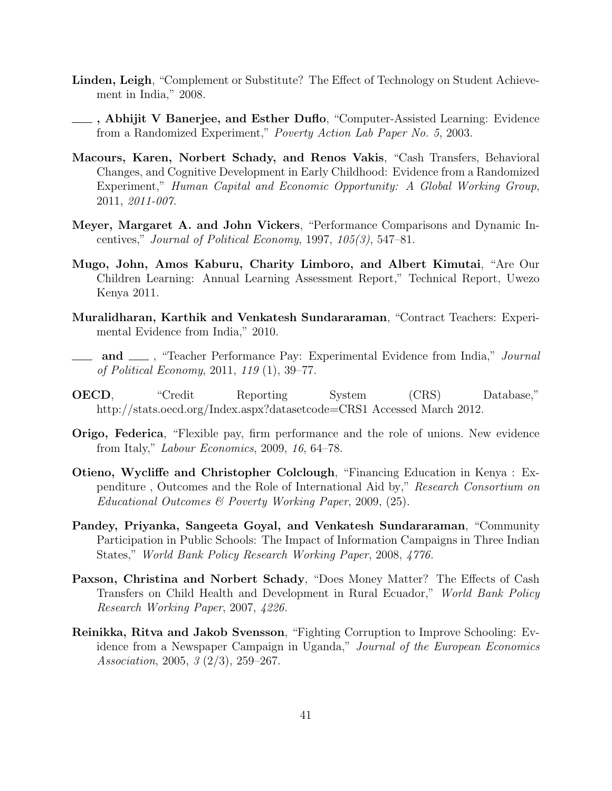- Linden, Leigh, "Complement or Substitute? The Effect of Technology on Student Achievement in India," 2008.
- , Abhijit V Banerjee, and Esther Duflo, "Computer-Assisted Learning: Evidence from a Randomized Experiment," Poverty Action Lab Paper No. 5, 2003.
- Macours, Karen, Norbert Schady, and Renos Vakis, "Cash Transfers, Behavioral Changes, and Cognitive Development in Early Childhood: Evidence from a Randomized Experiment," Human Capital and Economic Opportunity: A Global Working Group, 2011, 2011-007.
- Meyer, Margaret A. and John Vickers, "Performance Comparisons and Dynamic Incentives," Journal of Political Economy, 1997,  $105(3)$ , 547–81.
- Mugo, John, Amos Kaburu, Charity Limboro, and Albert Kimutai, "Are Our Children Learning: Annual Learning Assessment Report," Technical Report, Uwezo Kenya 2011.
- Muralidharan, Karthik and Venkatesh Sundararaman, "Contract Teachers: Experimental Evidence from India," 2010.
- and  $\Box$ , "Teacher Performance Pay: Experimental Evidence from India," Journal of Political Economy, 2011, 119 (1), 39–77.
- OECD, "Credit Reporting System (CRS) Database," http://stats.oecd.org/Index.aspx?datasetcode=CRS1 Accessed March 2012.
- Origo, Federica, "Flexible pay, firm performance and the role of unions. New evidence from Italy," Labour Economics, 2009, 16, 64–78.
- Otieno, Wycliffe and Christopher Colclough, "Financing Education in Kenya : Expenditure , Outcomes and the Role of International Aid by," Research Consortium on Educational Outcomes & Poverty Working Paper, 2009, (25).
- Pandey, Priyanka, Sangeeta Goyal, and Venkatesh Sundararaman, "Community Participation in Public Schools: The Impact of Information Campaigns in Three Indian States," World Bank Policy Research Working Paper, 2008, 4776.
- Paxson, Christina and Norbert Schady, "Does Money Matter? The Effects of Cash Transfers on Child Health and Development in Rural Ecuador," World Bank Policy Research Working Paper, 2007, 4226.
- Reinikka, Ritva and Jakob Svensson, "Fighting Corruption to Improve Schooling: Evidence from a Newspaper Campaign in Uganda," Journal of the European Economics Association, 2005, 3 (2/3), 259–267.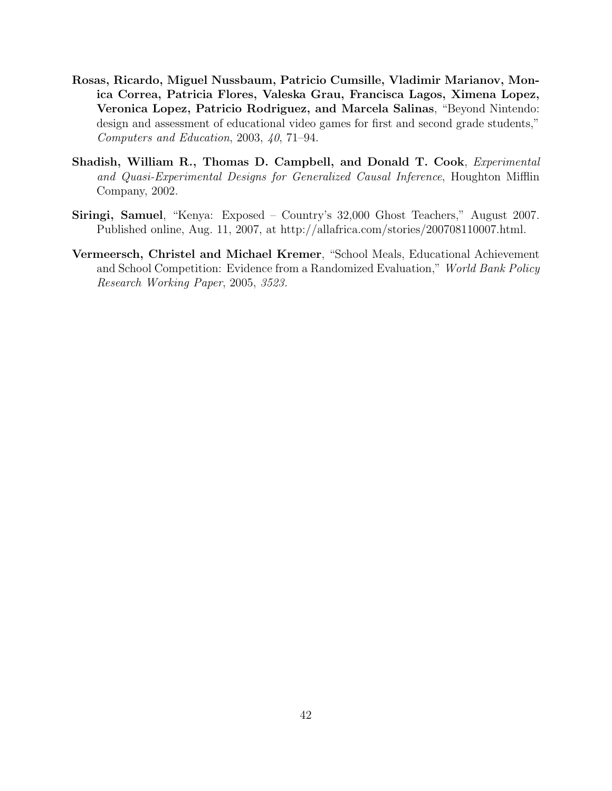- Rosas, Ricardo, Miguel Nussbaum, Patricio Cumsille, Vladimir Marianov, Monica Correa, Patricia Flores, Valeska Grau, Francisca Lagos, Ximena Lopez, Veronica Lopez, Patricio Rodriguez, and Marcela Salinas, "Beyond Nintendo: design and assessment of educational video games for first and second grade students," Computers and Education, 2003, 40, 71–94.
- Shadish, William R., Thomas D. Campbell, and Donald T. Cook, Experimental and Quasi-Experimental Designs for Generalized Causal Inference, Houghton Mifflin Company, 2002.
- Siringi, Samuel, "Kenya: Exposed Country's 32,000 Ghost Teachers," August 2007. Published online, Aug. 11, 2007, at http://allafrica.com/stories/200708110007.html.
- Vermeersch, Christel and Michael Kremer, "School Meals, Educational Achievement and School Competition: Evidence from a Randomized Evaluation," World Bank Policy Research Working Paper, 2005, 3523.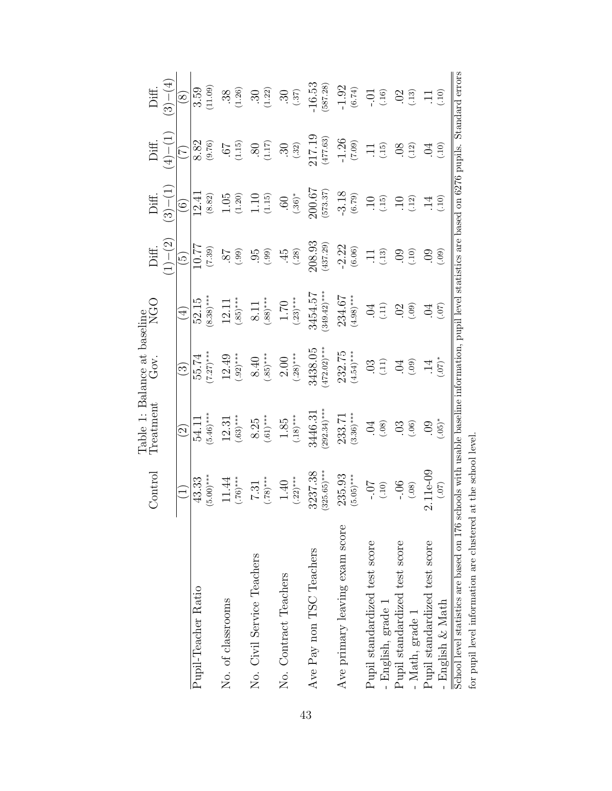<span id="page-42-0"></span>

|                                                                                                                                                                                                  | $\circ$ ontrol                     | Table 1: Balance at baseline<br><b>Treatment</b> | Gov.                      | NGO<br>                            | Diff.                    | Diff.                         | Diff.                 | Diff.                                     |
|--------------------------------------------------------------------------------------------------------------------------------------------------------------------------------------------------|------------------------------------|--------------------------------------------------|---------------------------|------------------------------------|--------------------------|-------------------------------|-----------------------|-------------------------------------------|
|                                                                                                                                                                                                  |                                    |                                                  |                           |                                    | $(1) - (2)$              | $(3) - (1)$                   | $(1) - (1)$           | $(3) - (4)$                               |
|                                                                                                                                                                                                  |                                    | $\widetilde{\mathcal{S}}$                        | $\widehat{\mathbb{C}}$    | $(\pm)$                            | $\widetilde{\mathbb{G}}$ | $\widehat{\circ}$             | E                     | $\circled{s}$                             |
| Pupil-Teacher Ratio                                                                                                                                                                              | $5.00$ <sup>***</sup><br>43.33     | $(94.5, 46)$ ***<br>54.1.                        | $(7.27)***$<br>55.74      | $(8.38)***$<br>52.15               | 10.77<br>(7.39)          | 12.41<br>$(8.82)$             | $\frac{8.82}{(9.76)}$ | (11.09)<br>3.59                           |
| No. of classrooms                                                                                                                                                                                | $(.76)^{***}$<br>11.44             | $(.63)$ ***<br>12.31                             | $(.92)$ ***<br>12.49      | $(.85)^***$<br>12.11               | $(66)$<br>$28$ .         | $1.05$ $(1.20)$               | (1.15)                | $\begin{array}{c} .38 \\ .26 \end{array}$ |
| No. Civil Service Teachers                                                                                                                                                                       | $7.31$<br>(.78)***                 | $8.25$<br>(.61)***                               | $8.40$<br>(.85)***        | $8.11$<br>(.88)***                 | (66)                     | $1.10$<br>(1.15)              | (1.17)                | (1.22)<br>$\ddot{30}$                     |
| No. Contract Teachers                                                                                                                                                                            | $(.22)^{***}$<br>$1.40\,$          | $1.85$<br>(.18)***                               | $2.00$<br>(.28)***        | $1.70$<br>(.23)***                 | $\frac{45}{38}$          | $(.36)^*$<br>.60              | $\frac{30}{32}$       | $(.37)$<br>$\ddot{30}$                    |
| Ave Pay non TSC Teachers                                                                                                                                                                         | $325.65$ <sup>***</sup><br>3237.38 | $292.34$ <sup>***</sup><br>3446.31               | $(472.02)$ ***<br>3438.05 | $349.42$ <sup>***</sup><br>3454.57 | 208.93<br>(437.29)       | 200.67<br>(573.37)            | $217.19$<br>(477.63)  | $-16.53$<br>(587.28)                      |
| Ave primary leaving exam score                                                                                                                                                                   | $(5.05)$ ***<br>235.93             | $(3.36)$ ***<br>233.71                           | 232.75<br>$(4.54)$ ***    | 234.67<br>$(4.98)$ ***             | $-2.22$<br>(6.06)        | $-3.18$<br>(6.79)             | $-1.26$<br>(7.09)     | $-1.92$<br>(6.74)                         |
| Pupil standardized test score<br>- English, grade 1                                                                                                                                              | (01.)                              | (.08)<br>$\ddot{5}$                              | (11)                      | $\ddot{0}$<br>$\left(11\right)$    | $\frac{11}{13}$          | $\Xi$<br>(.15)                | $\frac{11}{15}$       | $-0.01$                                   |
| Pupil standardized test score<br>- Math, grade 1                                                                                                                                                 | $-0.06$                            | (.06)<br>$\ddot{\mathrm{c}}$                     | (60)<br>$\Xi$             | (60)<br>$\odot$                    | (10)<br>$00$             | $\left( \frac{12}{1} \right)$ | (12)<br>80.           | (13)<br>02                                |
| Pupil standardized test score<br>English & Math                                                                                                                                                  | $2.11e-09$<br>(50)                 | $(.05)^*$<br>$\ddot{6}$                          | $*(20)$<br>$\vec{=}$      | $\overline{C}$<br>(20)             | (60)<br>09               | (10)<br>$\overline{14}$       | (10)<br>S.            | (10)                                      |
| School level statistics are based on 176 schools with usable baseline information, pupil level statistics are based on 6276 pupils. Standard errors<br>for pupil level information are clustered | at the school level.               |                                                  |                           |                                    |                          |                               |                       |                                           |

43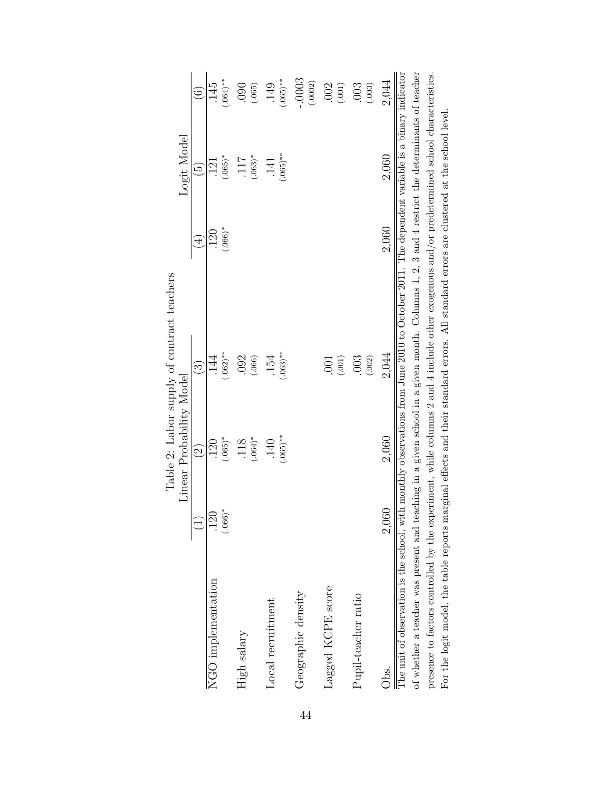<span id="page-43-0"></span>

|                                                                                                                                                                                                                                                                                                                                                                                                                                                                                                                                                                                            |                          |                          | Table 2: Labor supply of contract teachers |                         |                               |                     |
|--------------------------------------------------------------------------------------------------------------------------------------------------------------------------------------------------------------------------------------------------------------------------------------------------------------------------------------------------------------------------------------------------------------------------------------------------------------------------------------------------------------------------------------------------------------------------------------------|--------------------------|--------------------------|--------------------------------------------|-------------------------|-------------------------------|---------------------|
|                                                                                                                                                                                                                                                                                                                                                                                                                                                                                                                                                                                            |                          | Linear Probability Model |                                            |                         | Logit Model                   |                     |
|                                                                                                                                                                                                                                                                                                                                                                                                                                                                                                                                                                                            |                          | $\widehat{\Omega}$       | $\widehat{\mathbb{C}}$                     | $\widehat{\mathcal{A}}$ | $\widetilde{\mathbb{G}}$      | $\widehat{\circ}$   |
| NGO implementation                                                                                                                                                                                                                                                                                                                                                                                                                                                                                                                                                                         | $(.066)$ *<br><b>120</b> | $(.065)$ *<br><b>20</b>  | $(.062)$ **<br>$14\overline{4}$            | $(.066)$ *<br>120       | $(.065)$ *<br>$\overline{21}$ | $(.064)$ **<br>145  |
| High salary                                                                                                                                                                                                                                                                                                                                                                                                                                                                                                                                                                                |                          | $(.064)$ *<br>.118       | .092<br>(.066)                             |                         | $(.063)*$<br>ZII.             | 0.00<br>(.065)      |
| Local recruitment                                                                                                                                                                                                                                                                                                                                                                                                                                                                                                                                                                          |                          | $(.065)$ **<br>140       | $(.063)$ **<br>154                         |                         | $(.065)$ **<br>.141           | $(.065)$ **<br>149  |
| Geographic density                                                                                                                                                                                                                                                                                                                                                                                                                                                                                                                                                                         |                          |                          |                                            |                         |                               | $-.0003$<br>(.0002) |
| Lagged KCPE score                                                                                                                                                                                                                                                                                                                                                                                                                                                                                                                                                                          |                          |                          | (.001)<br>$\overline{0}$                   |                         |                               | .002<br>(.001)      |
| Pupil-teacher ratio                                                                                                                                                                                                                                                                                                                                                                                                                                                                                                                                                                        |                          |                          | (.002)<br>.003                             |                         |                               | .003<br>(.003)      |
| Obs.                                                                                                                                                                                                                                                                                                                                                                                                                                                                                                                                                                                       | 2,060                    | 2,060                    | 2,044                                      | 2.060                   | 2,060                         | 2,044               |
| of whether a teacher was present and teaching in a given school in a given month. Columns 1, 2, 3 and 4 restrict the determinants of teacher<br>The unit of observation is the school, with monthly observations from June 2010 to October 2011. The dependent variable is a binary indicator<br>presence to factors controlled by the experiment, while columns 2 and 4 include other exogenous and/or predetermined school characteristics.<br>For the logit model, the table reports marginal effects and their standard errors. All standard errors are clustered at the school level. |                          |                          |                                            |                         |                               |                     |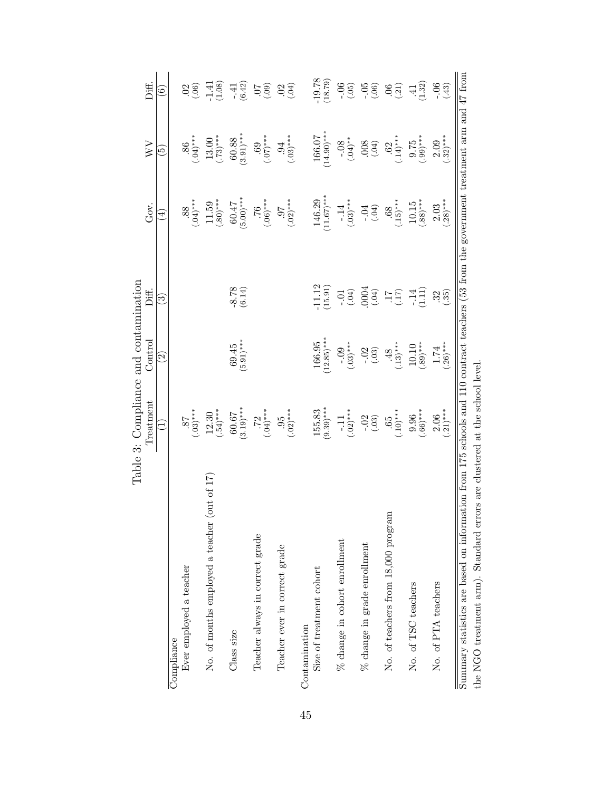<span id="page-44-0"></span>

|                                                                                                                                                                                                                        | Table 3: Compliance and contamination<br>Treatment | Control                   | Diff.                                            | Gov.                   | WV                                | Diff.                    |
|------------------------------------------------------------------------------------------------------------------------------------------------------------------------------------------------------------------------|----------------------------------------------------|---------------------------|--------------------------------------------------|------------------------|-----------------------------------|--------------------------|
|                                                                                                                                                                                                                        |                                                    | $\odot$                   | වි                                               | ₹                      | $\widetilde{\mathbf{e}}$          | $\widehat{\mathfrak{s}}$ |
| Compliance                                                                                                                                                                                                             |                                                    |                           |                                                  |                        |                                   |                          |
| Ever employed a teacher                                                                                                                                                                                                | $^{***(60^{\circ})}_{28^{\circ}}$                  |                           |                                                  | 88.600                 | $86$<br>$(8)$<br>$(8)$            | $rac{0.06}{0.06}$        |
| $($ out of 17 $)$<br>No. of months employed a teacher                                                                                                                                                                  | $12.30$<br>(.54)***                                |                           |                                                  | $11.59$<br>(.80)***    | $13.00$<br>(.73)***               | $-1.41$<br>(1.08)        |
| Class size                                                                                                                                                                                                             | $(3.19)$ **<br>60.67                               | $(5.91)$ ***<br>69.45     | $-8.78$<br>(6.14)                                | $(5.00)$ ***<br>60.47  | $(3.91)$ ***<br>60.88             | $-41$<br>(6.42)          |
| Teacher always in correct grade                                                                                                                                                                                        | $72$<br>(.04)***                                   |                           |                                                  | $^{***}$ (90.)         | $^{***(20^{\circ})}_{69^{\circ}}$ | (60)                     |
| Teacher ever in correct grade                                                                                                                                                                                          | $(.02)$ ***<br>95                                  |                           |                                                  | $(.02)$ ***<br>16      | $(.03)$ ***<br>.94                | $02_{(0,0)}$             |
| Contamination                                                                                                                                                                                                          |                                                    |                           |                                                  |                        |                                   |                          |
| Size of treatment cohort                                                                                                                                                                                               | $(9.39)$ ***<br>155.83                             | $166.95$<br>(12.85)***    | $-11.12$<br>(15.91)                              | $146.29$<br>(11.67)*** | $166.07$<br>(14.90)***            | $-19.78$<br>(18.79)      |
| $\%$ change in cohort enrollment                                                                                                                                                                                       | $(.02)^{***}$<br>$-11$                             | $-0.09$<br>$(+0.03)$      | $\begin{pmatrix} 1 & 0 \\ 0 & -1 \end{pmatrix}$  | $-14$<br>(.03)***      | $-0.08$<br>$(0.04)*$              | $-0.06$                  |
| $\%$ change in grade enrollment                                                                                                                                                                                        | $-0.03$                                            | $-0.3$                    | (100)                                            | $-0.31$                | (100, 000)                        | $-0.05$                  |
| No. of teachers from 18,000 program                                                                                                                                                                                    | $(.10)^*$<br>65                                    | $\frac{48}{(0.13)^{***}}$ | $\mathop{11}\limits_{\mathcal{L}\left(1\right)}$ | $^{**}$ (15) $^{***}$  | $.62$<br>(.14)***                 | (0.21)                   |
| No. of TSC teachers                                                                                                                                                                                                    | $^{0.96}_{(.66)***}$                               | $10.10$<br>(.89)***       | $-14$<br>(1.11)                                  | $10.15$<br>(.88)***    | $^{(1.99)***}_{(0.99)***}$        | $\frac{41}{(1.32)}$      |
| No. of PTA teachers                                                                                                                                                                                                    | $^{2.06}_{(.21)***}$                               | $(0.26)$ ***<br>1.74      | $35\choose$                                      | $2.03$<br>$(28)***$    | $2.09$<br>$32)***$                | $-0.06$<br>(43)          |
| Summary statistics are based on information from 175 schools and 110 contract teachers (53 from the government treatment arm and 47 from<br>the NGO treatment arm). Standard errors are clustered at the school level. |                                                    |                           |                                                  |                        |                                   |                          |

45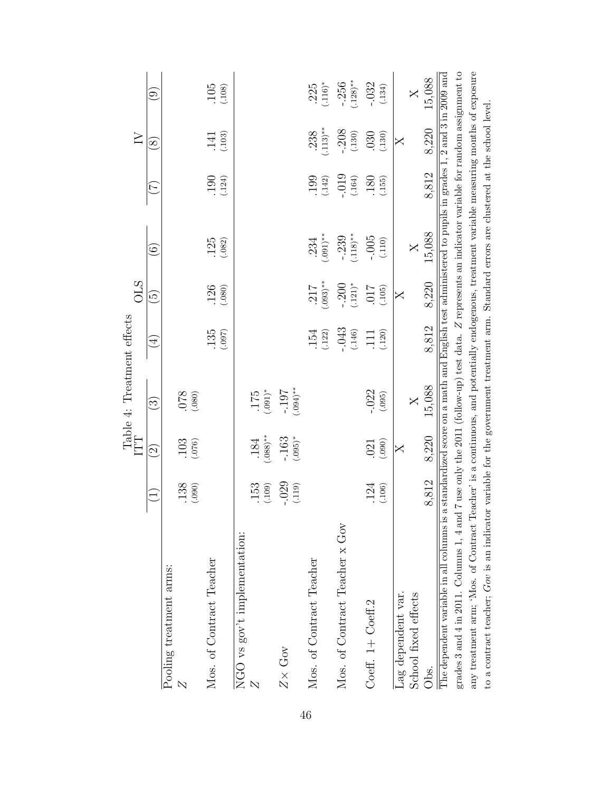<span id="page-45-0"></span>

|                                                                                                                                                                                                                                                                                                                                                                                                                                                                                                                                                                                                   |                  |                      | Table 4: Treatment effects<br>ITT |                            | <b>OLS</b>               |                         |                          | $\geq$              |                         |
|---------------------------------------------------------------------------------------------------------------------------------------------------------------------------------------------------------------------------------------------------------------------------------------------------------------------------------------------------------------------------------------------------------------------------------------------------------------------------------------------------------------------------------------------------------------------------------------------------|------------------|----------------------|-----------------------------------|----------------------------|--------------------------|-------------------------|--------------------------|---------------------|-------------------------|
|                                                                                                                                                                                                                                                                                                                                                                                                                                                                                                                                                                                                   |                  | $\widetilde{\Omega}$ | $\widehat{\mathbb{C}}$            | $\widehat{\mathcal{A}}$    | $\widetilde{\mathbb{G}}$ | $\widehat{\odot}$       | $\overline{\mathcal{L}}$ | $\infty$            | $\odot$                 |
| Pooling treatment arms:                                                                                                                                                                                                                                                                                                                                                                                                                                                                                                                                                                           |                  |                      |                                   |                            |                          |                         |                          |                     |                         |
|                                                                                                                                                                                                                                                                                                                                                                                                                                                                                                                                                                                                   | $.138$<br>(.090) | $.103$<br>$(.076)$   | (080)                             |                            |                          |                         |                          |                     |                         |
| Mos. of Contract Teacher                                                                                                                                                                                                                                                                                                                                                                                                                                                                                                                                                                          |                  |                      |                                   | 135<br>(.097)              | $.126$<br>$(.080)$       | $.125$<br>(.082)        | $.190$<br>$(.124)$       | $.141$<br>$(.103)$  | $.105$<br>(.108)        |
| $NGO$ vs gov't implementation:                                                                                                                                                                                                                                                                                                                                                                                                                                                                                                                                                                    |                  |                      |                                   |                            |                          |                         |                          |                     |                         |
|                                                                                                                                                                                                                                                                                                                                                                                                                                                                                                                                                                                                   | (0.153)          | $.184$<br>$+88$ .    | $^{*}(100)$                       |                            |                          |                         |                          |                     |                         |
| $Z\times$ Gov                                                                                                                                                                                                                                                                                                                                                                                                                                                                                                                                                                                     | $-029$<br>(.119) | $-163$<br>(.095)*    | $-197$<br>70.00                   |                            |                          |                         |                          |                     |                         |
| Mos. of Contract Teacher                                                                                                                                                                                                                                                                                                                                                                                                                                                                                                                                                                          |                  |                      |                                   | $.154$<br>$(.122)$         | $(0.03)$ **<br>217       | $.234$<br>$(.091)**$    | (0.142)                  | $.238$<br>$(.113)*$ | $.225$<br>(.116)*       |
| Mos. of Contract Teacher x Gov                                                                                                                                                                                                                                                                                                                                                                                                                                                                                                                                                                    |                  |                      |                                   | $-043$<br>(.146)           | $-.200$<br>$(.121)^*$    | $-0.239$<br>$(0.118)**$ | $-0.19$<br>(.164)        | $-0.208$            | $-0.256$<br>$(0.128)**$ |
| Coeff. 1+ Coeff.2                                                                                                                                                                                                                                                                                                                                                                                                                                                                                                                                                                                 | $.124$<br>(.106) | (.090)<br>.021       | $-022$<br>(.095)                  | (.120)<br>$\overline{111}$ | .017<br>(.105)           | $-0.005$<br>(.110)      | $\frac{180}{(155)}$      | .030<br>(.130)      | $-.032$<br>(.134)       |
| Lag dependent var.                                                                                                                                                                                                                                                                                                                                                                                                                                                                                                                                                                                |                  | $\mathsf{X}$         |                                   |                            | X                        |                         |                          | $\times$            |                         |
| School fixed effects                                                                                                                                                                                                                                                                                                                                                                                                                                                                                                                                                                              |                  |                      | $\overline{X}$                    |                            |                          | $\overline{\mathsf{X}}$ |                          |                     | $\overline{\mathsf{X}}$ |
| Obs.                                                                                                                                                                                                                                                                                                                                                                                                                                                                                                                                                                                              | 8,812            | 8,220                | 15,088                            | 8,812                      | 8,220                    | 15,088                  | 8,812                    | 8,220               | 15,088                  |
| grades 3 and 4 in 2011. Columns 1, 4 and 7 use only the 2011 (follow-up) test data. Z represents an indicator variable for random assignment to<br>any treatment arm; 'Mos. of Contract Teacher' is a continuous, and potentially endogenous, treatment variable measuring months of exposure<br>The dependent variable in all columns is a standardized score on a math and English test administered to pupils in grades $1, 2$ and $3$ in 2009 and<br>to a contract teacher; Gov is an indicator variable for the government treatment arm. Standard errors are clustered at the school level. |                  |                      |                                   |                            |                          |                         |                          |                     |                         |
|                                                                                                                                                                                                                                                                                                                                                                                                                                                                                                                                                                                                   |                  |                      |                                   |                            |                          |                         |                          |                     |                         |

46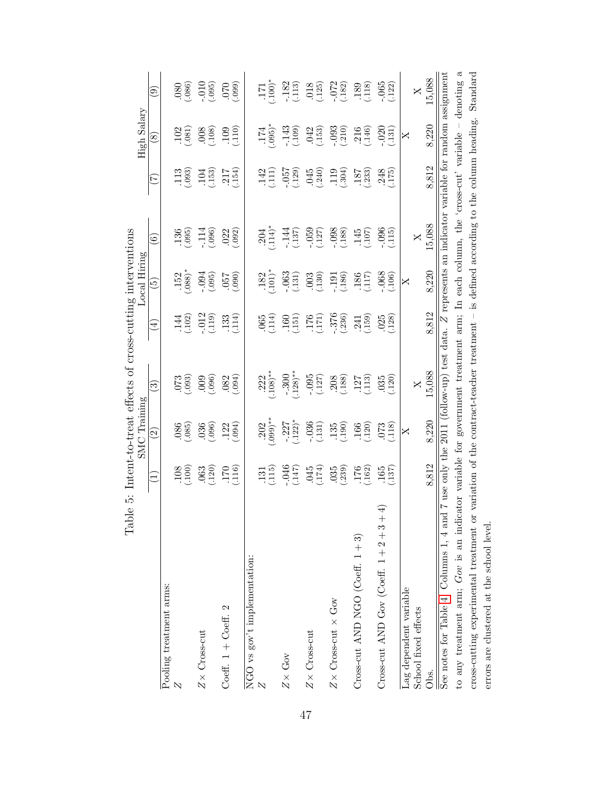<span id="page-46-0"></span>

| Table                                                                                                                       |                                                           | $SMC$ Training                                                         | 5: Intent-to-treat effects of cross-cutting interventions |                                                                                                                                                                                       | Hiring<br>Local                                                                                                                                                                                                                                                                                                                                                                      |                                                                  |                                                                                | High Salary                                                                      |                               |
|-----------------------------------------------------------------------------------------------------------------------------|-----------------------------------------------------------|------------------------------------------------------------------------|-----------------------------------------------------------|---------------------------------------------------------------------------------------------------------------------------------------------------------------------------------------|--------------------------------------------------------------------------------------------------------------------------------------------------------------------------------------------------------------------------------------------------------------------------------------------------------------------------------------------------------------------------------------|------------------------------------------------------------------|--------------------------------------------------------------------------------|----------------------------------------------------------------------------------|-------------------------------|
|                                                                                                                             | $\Xi$                                                     | $\widehat{\Xi}$                                                        | $\widetilde{\mathbb{C}}$                                  | Ê                                                                                                                                                                                     | $\widetilde{\mathbf{e}}$                                                                                                                                                                                                                                                                                                                                                             | $\widehat{\circ}$                                                | E                                                                              | $\infty$                                                                         | ම                             |
| Pooling treatment arms:                                                                                                     |                                                           |                                                                        |                                                           |                                                                                                                                                                                       |                                                                                                                                                                                                                                                                                                                                                                                      |                                                                  |                                                                                |                                                                                  |                               |
| $\overline{\mathcal{N}}$                                                                                                    | (108)                                                     | $\frac{680}{980}$                                                      | (600)                                                     |                                                                                                                                                                                       | $.152$<br>$.088$ <sup>*</sup>                                                                                                                                                                                                                                                                                                                                                        | $.136$<br>$(.095)$                                               |                                                                                | (0.81)                                                                           |                               |
| $Z\times$ Cross-cut                                                                                                         | (063)                                                     | $\begin{array}{c} 036 \\ -096 \\ 122 \\ \hline \end{array}$            | (960)                                                     | $\frac{144}{102}$<br>$\frac{102}{1019}$                                                                                                                                               | (0.005)                                                                                                                                                                                                                                                                                                                                                                              | $-.114$<br>$(.096)$                                              | $\frac{113}{093}$<br>$\frac{104}{153}$                                         | (3001.)                                                                          | $(080)$<br>$(010)$<br>$(010)$ |
| Coeff. $1 +$ Coeff. 2                                                                                                       | $\frac{170}{(116)}$                                       |                                                                        | $.082$<br>$.094$                                          | $.133$<br>$.114$                                                                                                                                                                      | (060.)                                                                                                                                                                                                                                                                                                                                                                               | $.022$<br>$(.092)$                                               | $.217$<br>$(154)$                                                              | (110)                                                                            | (660)                         |
| NGO vs gov't implementation:                                                                                                |                                                           |                                                                        |                                                           |                                                                                                                                                                                       |                                                                                                                                                                                                                                                                                                                                                                                      |                                                                  |                                                                                |                                                                                  |                               |
|                                                                                                                             | $\frac{131}{(115)}$                                       | $.202$<br>$(0.99)$ *                                                   | $.222$<br>$.108)$ *                                       | $.065$<br>$.114$                                                                                                                                                                      | $.182$<br>$.101$                                                                                                                                                                                                                                                                                                                                                                     | $.204$<br>$.114)$                                                | $\frac{142}{111}$                                                              | $.174$<br>$.095$                                                                 | $\sum_{i=1}^{n}$              |
| $Z\times$ Gov                                                                                                               |                                                           | $-0.227$<br>$(0.122)^{*}$                                              | $-0.300$                                                  |                                                                                                                                                                                       |                                                                                                                                                                                                                                                                                                                                                                                      | $-144$<br>$(137)$                                                | (657)                                                                          | $-143$<br>$(0.109)$                                                              |                               |
| $Z \times C$ ross-cut                                                                                                       |                                                           |                                                                        |                                                           |                                                                                                                                                                                       |                                                                                                                                                                                                                                                                                                                                                                                      |                                                                  |                                                                                |                                                                                  |                               |
| $Z\times$ Cross-cut $\times$ Gov                                                                                            | $-046$<br>$(147)$<br>$045$<br>$(174)$<br>$035$<br>$(035)$ | $\begin{array}{c} -036 \\ (131) \\ 135 \\ (190) \\ 166 \\ \end{array}$ | $\frac{1095}{(127)}$<br>(127)<br>208)                     | $\begin{array}{c} 160 \\ (151) \\ 176 \\ \hline \end{array} \quad \begin{array}{c} 160 \\ (171) \\ 376 \\ \hline \end{array} \quad \begin{array}{c} 241 \\ 241 \\ \hline \end{array}$ | $\begin{array}{l} -063 \\ (-131) \\ (-130) \\ (-130) \\ (-130) \\ (-130) \\ (-130) \\ (-130) \\ (-130) \\ (-130) \\ (-130) \\ (-130) \\ (-130) \\ (-130) \\ (-130) \\ (-130) \\ (-130) \\ (-130) \\ (-130) \\ (-130) \\ (-130) \\ (-130) \\ (-130) \\ (-130) \\ (-130) \\ (-130) \\ (-130) \\ (-130) \\ (-130) \\ (-130) \\ (-130) \\ (-130) \\ (-130) \\ (-130) \\ (-130) \\ (-130$ | $(059$<br>$(057)$<br>$(098)$<br>$(0.188)$                        | $\begin{array}{l} .045 \\ .240) \\ .119 \\ .304) \\ .187 \\ .233) \end{array}$ | $\begin{array}{c} 042 \\[-4pt] (-153) \\[-4pt] -093 \\[-4pt] (-210) \end{array}$ |                               |
| Cross-cut AND NGO (Coeff. $1+3$ )                                                                                           | $\frac{176}{(162)}$                                       |                                                                        | $\frac{127}{(113)}$                                       |                                                                                                                                                                                       |                                                                                                                                                                                                                                                                                                                                                                                      | $\frac{145}{(107)}$                                              |                                                                                | $.216$<br>$(.146)$                                                               |                               |
| 4<br>Cross-cut AND Gov (Coeff. $1+2+3+$                                                                                     | $.165$<br>$.137$                                          | (118)                                                                  | $.035$<br>$(.120)$                                        | $.025$<br>$.128$                                                                                                                                                                      |                                                                                                                                                                                                                                                                                                                                                                                      | (115)                                                            | $.248$<br>$.175$                                                               | (0.131)                                                                          | $-.065$<br>$(.122)$           |
| Lag dependent variable                                                                                                      |                                                           | $\mathsf{X}$                                                           |                                                           |                                                                                                                                                                                       | $\mathsf{X}$                                                                                                                                                                                                                                                                                                                                                                         |                                                                  |                                                                                | $\mathsf{X}$                                                                     |                               |
| School fixed effects                                                                                                        |                                                           |                                                                        | $\times$                                                  |                                                                                                                                                                                       |                                                                                                                                                                                                                                                                                                                                                                                      | $\mathsf{X}% _{0}$                                               |                                                                                |                                                                                  | $\mathsf{X}$                  |
| See notes for Table 4. Columns 1, 4 and 7 use only the 2011<br>Obs.                                                         | 8.812                                                     | 8.220                                                                  | (follow-up) test data.<br>15,088                          | 8.812<br>N                                                                                                                                                                            | 8,220                                                                                                                                                                                                                                                                                                                                                                                | represents an indicator variable for random assignment<br>15,088 | 8.812                                                                          | 8,220                                                                            | 15,088                        |
| to any treatment arm; $Gov$ is an indicator variable for government treatment arm; In each column, the 'cross-cut' variable |                                                           |                                                                        |                                                           |                                                                                                                                                                                       |                                                                                                                                                                                                                                                                                                                                                                                      |                                                                  |                                                                                |                                                                                  | ದ<br>denoting                 |
| cross-cutting experimental treatment or variation of the contract-teacher treatment                                         |                                                           |                                                                        |                                                           |                                                                                                                                                                                       |                                                                                                                                                                                                                                                                                                                                                                                      | - is defined according to the column heading.                    |                                                                                |                                                                                  | Standard                      |

errors are clustered at the school level.

errors are clustered at the school level.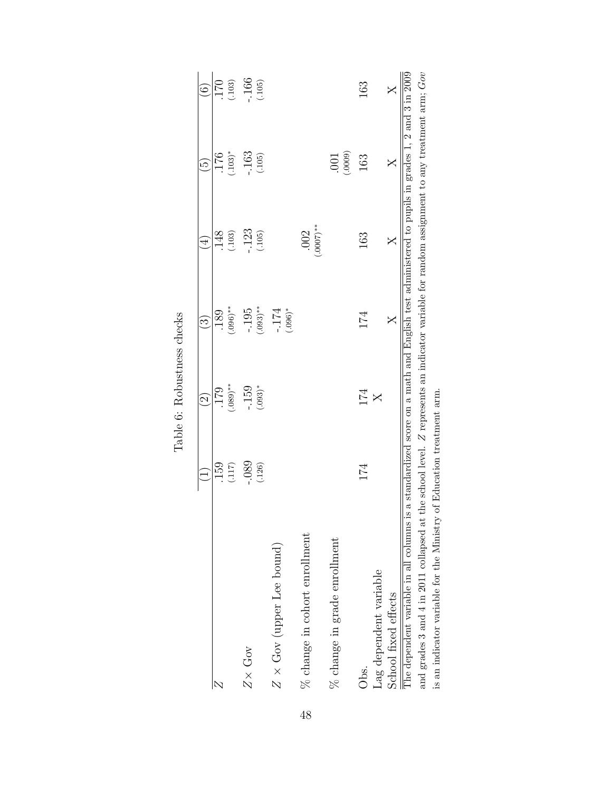<span id="page-47-0"></span>

|                                                                                                                                                                      |                   | $\widehat{\Omega}$  | $\hat{\mathbb{S}}$    | $\overline{4}$       | $\widetilde{\mathbb{P}}$ | $\widehat{\odot}$ |
|----------------------------------------------------------------------------------------------------------------------------------------------------------------------|-------------------|---------------------|-----------------------|----------------------|--------------------------|-------------------|
| Z                                                                                                                                                                    | (117)<br>159      | $(.080)$ **<br>179  | $(.096)$ **<br>189    | (.103)<br>148        | $(.103)^*$<br>176        | 170<br>(.103)     |
| $Z \times Gov$                                                                                                                                                       | $-0.89$<br>(.126) | $-159$<br>$(.093)*$ | $(.093)$ **<br>$-195$ | $-123$<br>(.105)     | $-163$<br>(.105)         | .166<br>(.105)    |
| $Z \times \text{Gov}$ (upper Lee bound)                                                                                                                              |                   |                     | $(.096)$ *<br>$-174$  |                      |                          |                   |
| % change in cohort enrollment                                                                                                                                        |                   |                     |                       | $(.0007)$ **<br>.002 |                          |                   |
| $\%$ change in grade enrollment                                                                                                                                      |                   |                     |                       |                      | (.0009)<br>$.001$        |                   |
| Obs.                                                                                                                                                                 | 174               | 174                 | 174                   | 163                  | 163                      | 163               |
| Lag dependent variable                                                                                                                                               |                   | $\mathsf{X}$        |                       |                      |                          |                   |
| The dependent variable in all columns is a standardized score on a math and English test administered to pupils in grades 1, 2 and 3 in 2009<br>School fixed effects |                   |                     | $\times$              | $\times$             | $\times$                 | $\times$          |
| and grades 3 and 4 in 2011 collapsed at the school level. Z represents an indicator variable for random assignment to any treatment arm; Gov                         |                   |                     |                       |                      |                          |                   |
| is an indicator variable for the Ministry of Education treatment arm.                                                                                                |                   |                     |                       |                      |                          |                   |

Table 6: Robustness checks Table 6: Robustness checks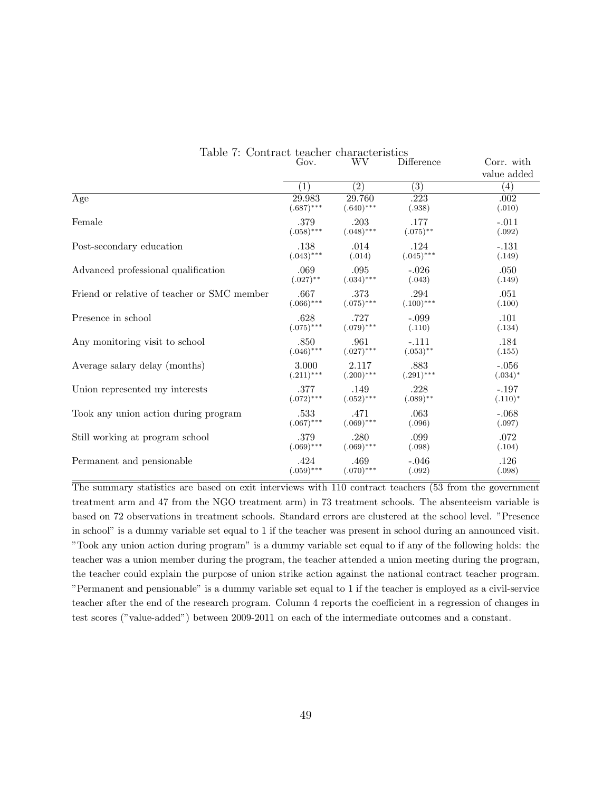|                                             | Gov.             | WV               | Difference       | Corr. with        |
|---------------------------------------------|------------------|------------------|------------------|-------------------|
|                                             |                  |                  |                  | value added       |
|                                             | $\left(1\right)$ | $\overline{(2)}$ | $\overline{(3)}$ | $\left( 4\right)$ |
| Age                                         | 29.983           | 29.760           | .223             | .002              |
|                                             | $(.687)$ ***     | $(.640)$ ***     | (.938)           | (.010)            |
| Female                                      | .379             | .203             | .177             | $-.011$           |
|                                             | $(.058)$ ***     | $(.048)$ ***     | $(.075)$ **      | (.092)            |
| Post-secondary education                    | .138             | .014             | .124             | $-.131$           |
|                                             | $(.043)$ ***     | (.014)           | $(.045)***$      | (.149)            |
| Advanced professional qualification         | .069             | .095             | $-.026$          | .050              |
|                                             | $(.027)$ **      | $(.034)$ ***     | (.043)           | (.149)            |
| Friend or relative of teacher or SMC member | .667             | .373             | .294             | .051              |
|                                             | $(.066)$ ***     | $(.075)$ ***     | $(.100)$ ***     | (.100)            |
| Presence in school                          | .628             | .727             | $-.099$          | .101              |
|                                             | $(.075)$ ***     | $(.079)$ ***     | (.110)           | (.134)            |
| Any monitoring visit to school              | .850             | .961             | $-.111$          | .184              |
|                                             | $(.046)$ ***     | $(.027)$ ***     | $(.053)$ **      | (.155)            |
| Average salary delay (months)               | 3.000            | 2.117            | .883             | $-.056$           |
|                                             | $(.211)$ ***     | $(.200)$ ***     | $(.291)$ ***     | $(.034)^*$        |
| Union represented my interests              | .377             | .149             | .228             | $-.197$           |
|                                             | $(.072)$ ***     | $(.052)$ ***     | $(.089)$ **      | $(.110)^*$        |
| Took any union action during program        | .533             | .471             | .063             | $-.068$           |
|                                             | $(.067)$ ***     | $(.069)$ ***     | (.096)           | (.097)            |
| Still working at program school             | .379             | .280             | .099             | .072              |
|                                             | $(.069)$ ***     | $(.069)$ ***     | (.098)           | (.104)            |
| Permanent and pensionable                   | .424             | .469             | $-.046$          | .126              |
|                                             | $(.059)$ ***     | $(.070)$ ***     | (.092)           | (.098)            |

<span id="page-48-0"></span>

|  |                | Table 7: Contract teacher characteristics |                    |
|--|----------------|-------------------------------------------|--------------------|
|  | $G_{\alpha v}$ | WV.                                       | $\text{Diff}_\ell$ |

The summary statistics are based on exit interviews with 110 contract teachers (53 from the government treatment arm and 47 from the NGO treatment arm) in 73 treatment schools. The absenteeism variable is based on 72 observations in treatment schools. Standard errors are clustered at the school level. "Presence in school" is a dummy variable set equal to 1 if the teacher was present in school during an announced visit. "Took any union action during program" is a dummy variable set equal to if any of the following holds: the teacher was a union member during the program, the teacher attended a union meeting during the program, the teacher could explain the purpose of union strike action against the national contract teacher program. "Permanent and pensionable" is a dummy variable set equal to 1 if the teacher is employed as a civil-service teacher after the end of the research program. Column 4 reports the coefficient in a regression of changes in test scores ("value-added") between 2009-2011 on each of the intermediate outcomes and a constant.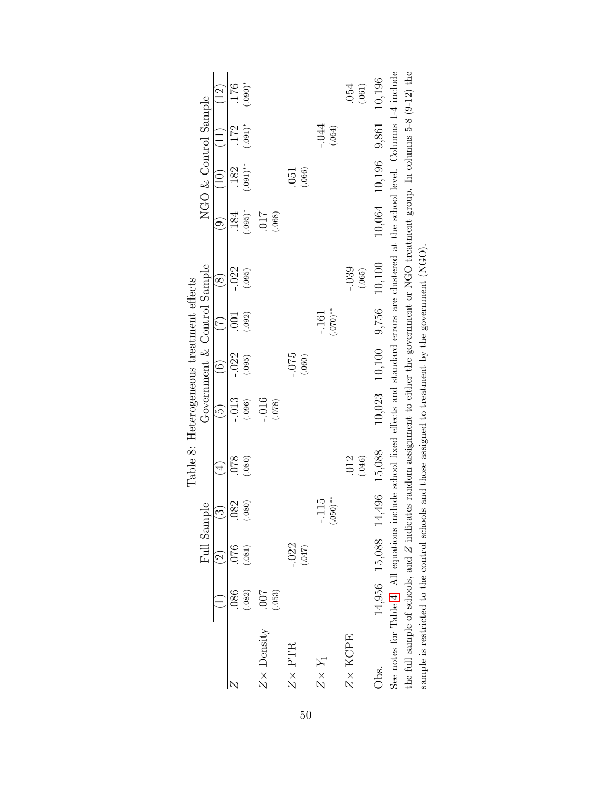<span id="page-49-0"></span>

|                                                                                                                                                                                                                                                    |                      |                             |                         | Table 8: Heterogeneous treatment effects |                            |                             |                            |                   |                      |                            |                    |                   |
|----------------------------------------------------------------------------------------------------------------------------------------------------------------------------------------------------------------------------------------------------|----------------------|-----------------------------|-------------------------|------------------------------------------|----------------------------|-----------------------------|----------------------------|-------------------|----------------------|----------------------------|--------------------|-------------------|
|                                                                                                                                                                                                                                                    |                      | Full Sample                 |                         |                                          |                            | Government & Control Sample |                            |                   |                      | NGO & Control Sample       |                    |                   |
|                                                                                                                                                                                                                                                    |                      | $\widehat{\Omega}$          | ನಾ                      | $\overline{4}$                           | $\widetilde{\mathfrak{S}}$ | $\widetilde{\odot}$         | $(\overline{7})$           | $\circledS$       | ම                    | (10)                       | (11)               | $\left(12\right)$ |
| N                                                                                                                                                                                                                                                  | 086<br>(.082)        | 076<br>(.081)               | (.080)<br>082           | .078<br>(.080)                           | $-.013$<br>(.096)          | $-.022$<br>(.095)           | (.092)<br>$\overline{001}$ | $-.022$<br>(.095) | $(.095)^*$<br>184    | $(.091)$ **<br>.182        | $(.091)^*$<br>.172 | $(.090)*$<br>176  |
| $Z \times$ Density                                                                                                                                                                                                                                 | (053)<br>$200^\circ$ |                             |                         |                                          | $-0.016$<br>(870.)         |                             |                            |                   | <b>117</b><br>(.068) |                            |                    |                   |
| $Z\times$ PTR                                                                                                                                                                                                                                      |                      | $-.022$<br>(740)            |                         |                                          |                            | $-0.5$<br>(.060)            |                            |                   |                      | (.066)<br>.051             |                    |                   |
| $Z\times Y_1$                                                                                                                                                                                                                                      |                      |                             | $(.050)$ **<br>115<br>ċ |                                          |                            |                             | $^{**}$ (070)<br>$-161$    |                   |                      |                            | $-0.044$<br>(.064) |                   |
| $Z\times$ KCPE                                                                                                                                                                                                                                     |                      |                             |                         | (.046)<br>.012                           |                            |                             |                            | $-0.39$<br>(.065) |                      |                            |                    | 054<br>(.061)     |
| Jbs.                                                                                                                                                                                                                                               |                      | 14,956 15,088 14,496 15,088 |                         |                                          |                            | $10,023$ $10,100$ $9,756$   |                            | 10,100            |                      | 10,064 10,196 9,861 10,196 |                    |                   |
| See notes for Table 4. All equations include school fixed effects and standard errors are clustered at the school level. Columns 1-4 include                                                                                                       |                      |                             |                         |                                          |                            |                             |                            |                   |                      |                            |                    |                   |
| the full sample of schools, and $Z$ indicates random assignment to either the government or NGO treatment group. In columns 5-8 (9-12) the<br>sample is restricted to the control schools and those assigned to treatment by the government (NGO). |                      |                             |                         |                                          |                            |                             |                            |                   |                      |                            |                    |                   |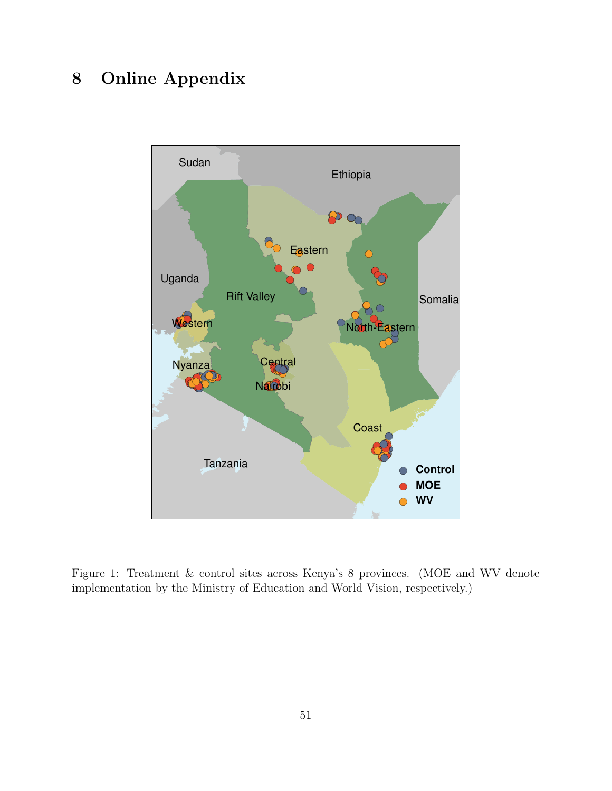## 8 Online Appendix



<span id="page-50-0"></span>Figure 1: Treatment & control sites across Kenya's 8 provinces. (MOE and WV denote implementation by the Ministry of Education and World Vision, respectively.)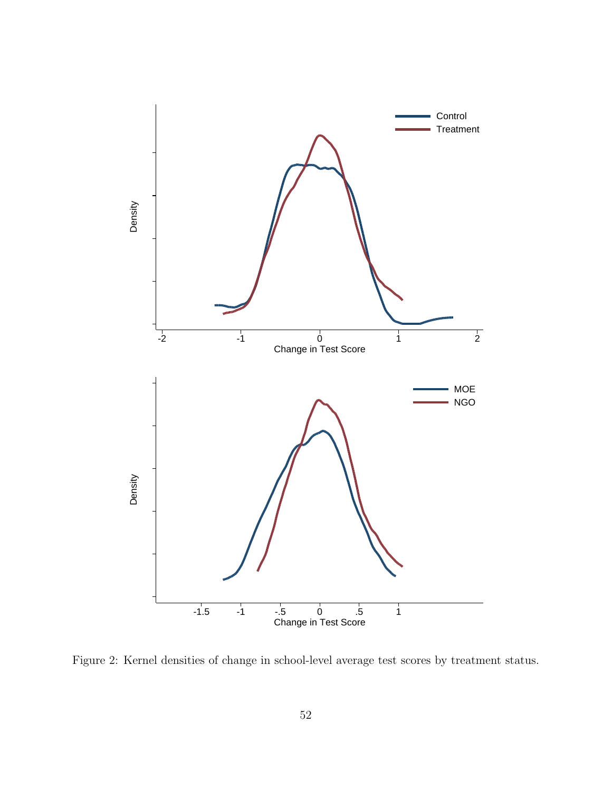

Figure 2: Kernel densities of change in school-level average test scores by treatment status.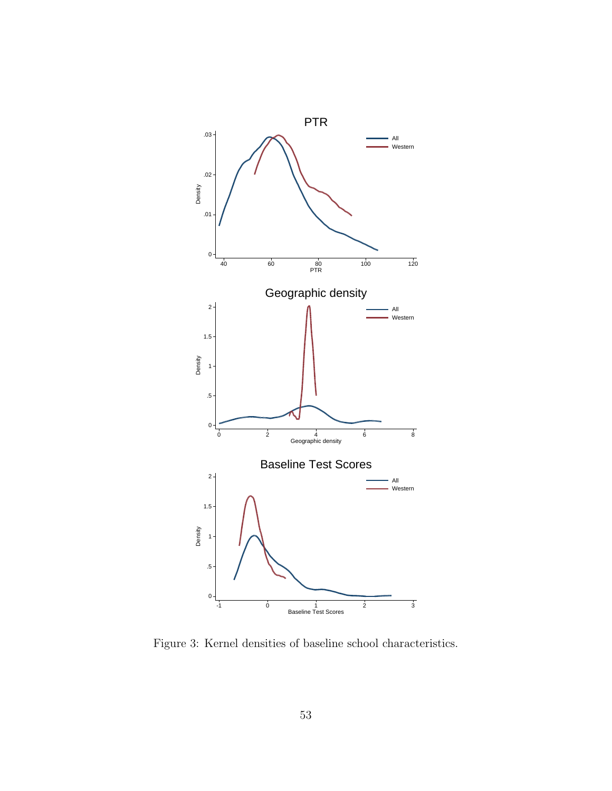

<span id="page-52-0"></span>Figure 3: Kernel densities of baseline school characteristics.